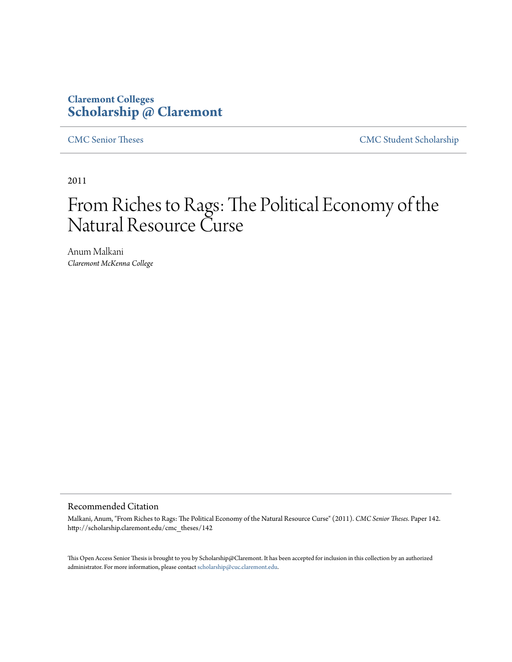## **Claremont Colleges [Scholarship @ Claremont](http://scholarship.claremont.edu)**

[CMC Senior Theses](http://scholarship.claremont.edu/cmc_theses) [CMC Student Scholarship](http://scholarship.claremont.edu/cmc_student)

2011

# From Riches to Rags: The Political Economy of the Natural Resource Curse

Anum Malkani *Claremont McKenna College*

#### Recommended Citation

Malkani, Anum, "From Riches to Rags: The Political Economy of the Natural Resource Curse" (2011). *CMC Senior Theses.* Paper 142. http://scholarship.claremont.edu/cmc\_theses/142

This Open Access Senior Thesis is brought to you by Scholarship@Claremont. It has been accepted for inclusion in this collection by an authorized administrator. For more information, please contact [scholarship@cuc.claremont.edu.](mailto:scholarship@cuc.claremont.edu)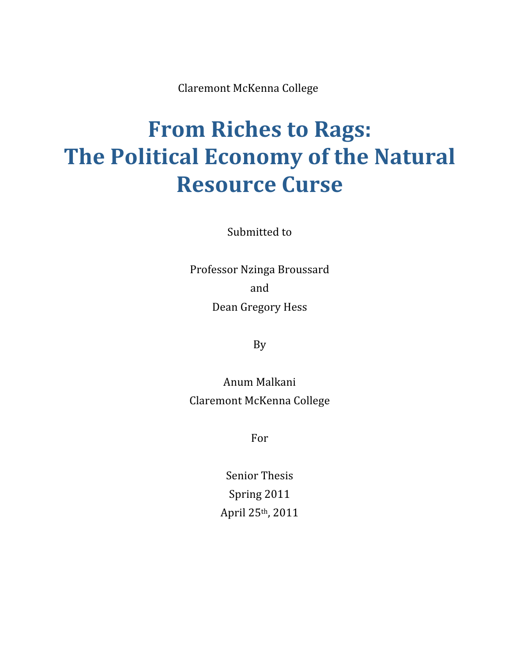Claremont McKenna College

# **From Riches to Rags: The Political Economy of the Natural Resource Curse**

Submitted to

Professor Nzinga Broussard and Dean Gregory Hess

By

Anum Malkani Claremont McKenna College

For

Senior Thesis Spring 2011 April 25th, 2011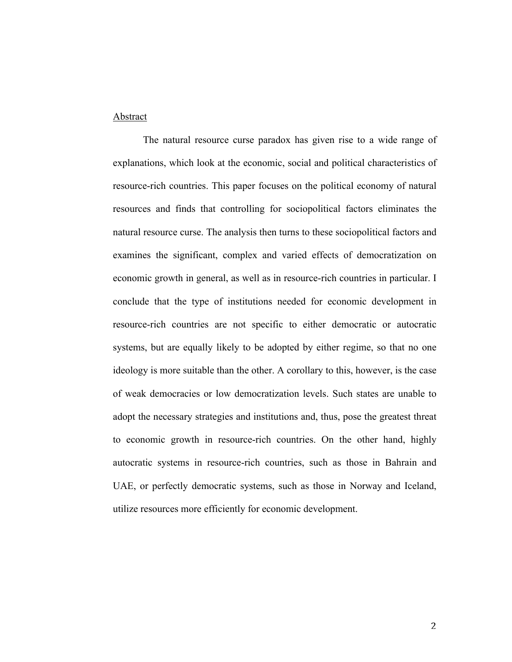#### Abstract

The natural resource curse paradox has given rise to a wide range of explanations, which look at the economic, social and political characteristics of resource-rich countries. This paper focuses on the political economy of natural resources and finds that controlling for sociopolitical factors eliminates the natural resource curse. The analysis then turns to these sociopolitical factors and examines the significant, complex and varied effects of democratization on economic growth in general, as well as in resource-rich countries in particular. I conclude that the type of institutions needed for economic development in resource-rich countries are not specific to either democratic or autocratic systems, but are equally likely to be adopted by either regime, so that no one ideology is more suitable than the other. A corollary to this, however, is the case of weak democracies or low democratization levels. Such states are unable to adopt the necessary strategies and institutions and, thus, pose the greatest threat to economic growth in resource-rich countries. On the other hand, highly autocratic systems in resource-rich countries, such as those in Bahrain and UAE, or perfectly democratic systems, such as those in Norway and Iceland, utilize resources more efficiently for economic development.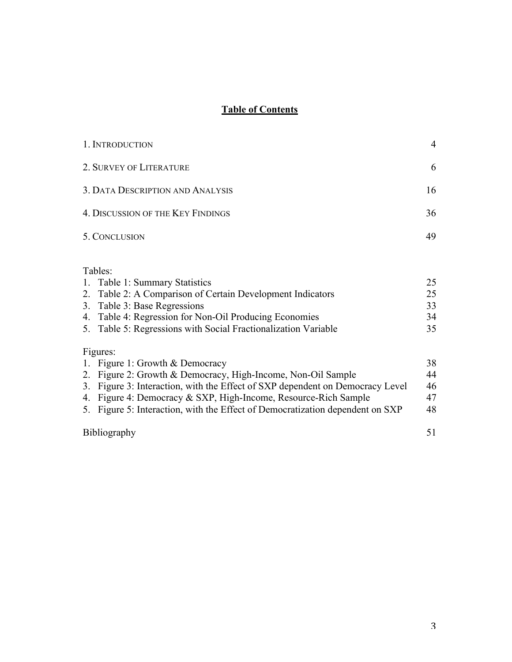### **Table of Contents**

| 1. INTRODUCTION                                                                                                                                                                                                                                                                                                                                  | $\overline{4}$             |
|--------------------------------------------------------------------------------------------------------------------------------------------------------------------------------------------------------------------------------------------------------------------------------------------------------------------------------------------------|----------------------------|
| 2. SURVEY OF LITERATURE                                                                                                                                                                                                                                                                                                                          | 6                          |
| 3. DATA DESCRIPTION AND ANALYSIS                                                                                                                                                                                                                                                                                                                 | 16                         |
| 4. DISCUSSION OF THE KEY FINDINGS                                                                                                                                                                                                                                                                                                                | 36                         |
| 5. CONCLUSION                                                                                                                                                                                                                                                                                                                                    | 49                         |
| Tables:<br>1. Table 1: Summary Statistics<br>2. Table 2: A Comparison of Certain Development Indicators<br>3. Table 3: Base Regressions<br>4. Table 4: Regression for Non-Oil Producing Economies<br>5. Table 5: Regressions with Social Fractionalization Variable                                                                              | 25<br>25<br>33<br>34<br>35 |
| Figures:<br>1. Figure 1: Growth & Democracy<br>2. Figure 2: Growth & Democracy, High-Income, Non-Oil Sample<br>3. Figure 3: Interaction, with the Effect of SXP dependent on Democracy Level<br>4. Figure 4: Democracy & SXP, High-Income, Resource-Rich Sample<br>5. Figure 5: Interaction, with the Effect of Democratization dependent on SXP | 38<br>44<br>46<br>47<br>48 |
| <b>Bibliography</b>                                                                                                                                                                                                                                                                                                                              | 51                         |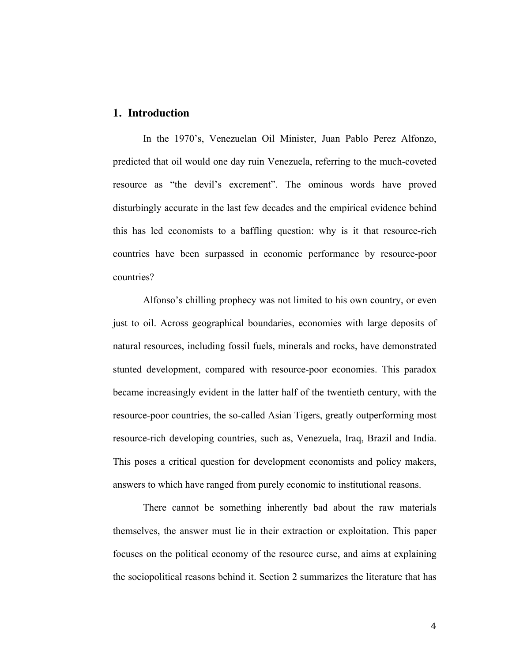#### **1. Introduction**

In the 1970's, Venezuelan Oil Minister, Juan Pablo Perez Alfonzo, predicted that oil would one day ruin Venezuela, referring to the much-coveted resource as "the devil's excrement". The ominous words have proved disturbingly accurate in the last few decades and the empirical evidence behind this has led economists to a baffling question: why is it that resource-rich countries have been surpassed in economic performance by resource-poor countries?

Alfonso's chilling prophecy was not limited to his own country, or even just to oil. Across geographical boundaries, economies with large deposits of natural resources, including fossil fuels, minerals and rocks, have demonstrated stunted development, compared with resource-poor economies. This paradox became increasingly evident in the latter half of the twentieth century, with the resource-poor countries, the so-called Asian Tigers, greatly outperforming most resource-rich developing countries, such as, Venezuela, Iraq, Brazil and India. This poses a critical question for development economists and policy makers, answers to which have ranged from purely economic to institutional reasons.

There cannot be something inherently bad about the raw materials themselves, the answer must lie in their extraction or exploitation. This paper focuses on the political economy of the resource curse, and aims at explaining the sociopolitical reasons behind it. Section 2 summarizes the literature that has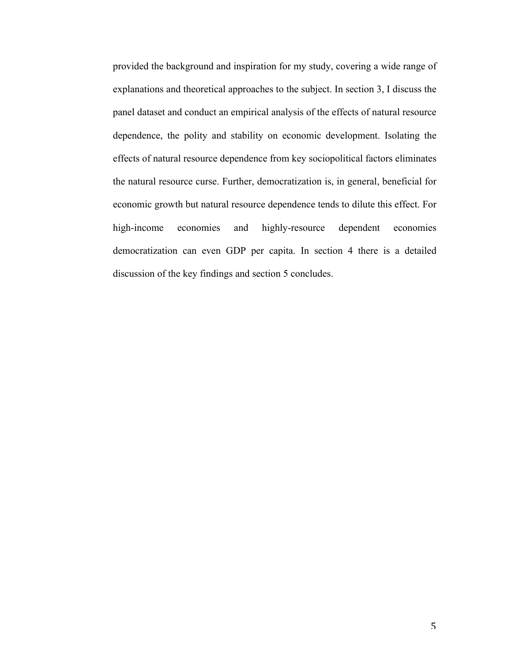provided the background and inspiration for my study, covering a wide range of explanations and theoretical approaches to the subject. In section 3, I discuss the panel dataset and conduct an empirical analysis of the effects of natural resource dependence, the polity and stability on economic development. Isolating the effects of natural resource dependence from key sociopolitical factors eliminates the natural resource curse. Further, democratization is, in general, beneficial for economic growth but natural resource dependence tends to dilute this effect. For high-income economies and highly-resource dependent economies democratization can even GDP per capita. In section 4 there is a detailed discussion of the key findings and section 5 concludes.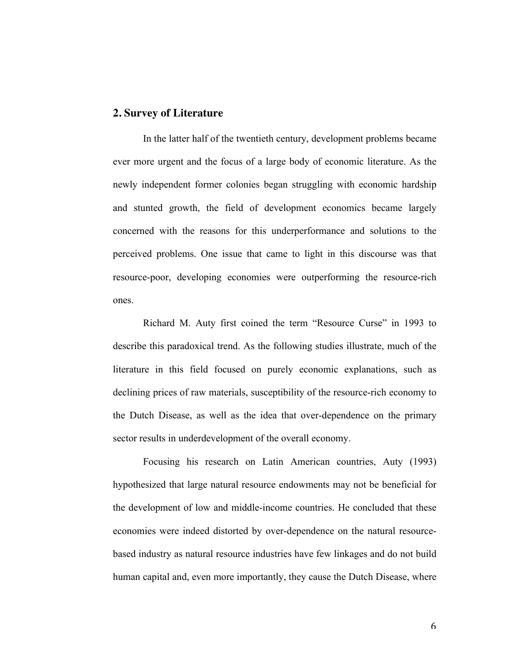#### **2. Survey of Literature**

In the latter half of the twentieth century, development problems became ever more urgent and the focus of a large body of economic literature. As the newly independent former colonies began struggling with economic hardship and stunted growth, the field of development economics became largely concerned with the reasons for this underperformance and solutions to the perceived problems. One issue that came to light in this discourse was that resource-poor, developing economies were outperforming the resource-rich ones.

Richard M. Auty first coined the term "Resource Curse" in 1993 to describe this paradoxical trend. As the following studies illustrate, much of the literature in this field focused on purely economic explanations, such as declining prices of raw materials, susceptibility of the resource-rich economy to the Dutch Disease, as well as the idea that over-dependence on the primary sector results in underdevelopment of the overall economy.

Focusing his research on Latin American countries, Auty (1993) hypothesized that large natural resource endowments may not be beneficial for the development of low and middle-income countries. He concluded that these economies were indeed distorted by over-dependence on the natural resourcebased industry as natural resource industries have few linkages and do not build human capital and, even more importantly, they cause the Dutch Disease, where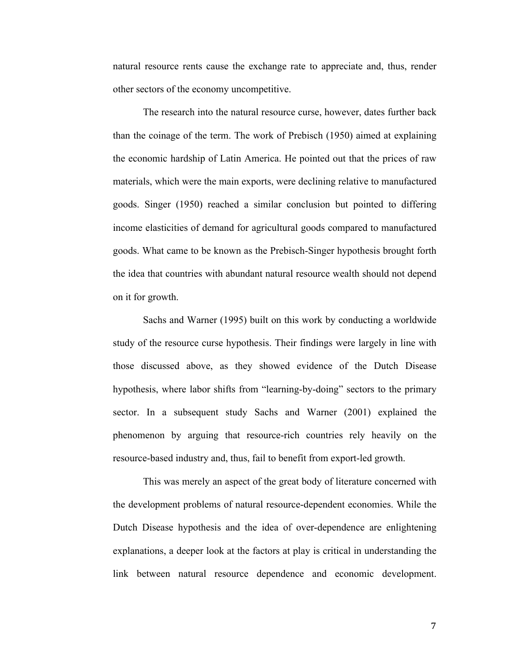natural resource rents cause the exchange rate to appreciate and, thus, render other sectors of the economy uncompetitive.

The research into the natural resource curse, however, dates further back than the coinage of the term. The work of Prebisch (1950) aimed at explaining the economic hardship of Latin America. He pointed out that the prices of raw materials, which were the main exports, were declining relative to manufactured goods. Singer (1950) reached a similar conclusion but pointed to differing income elasticities of demand for agricultural goods compared to manufactured goods. What came to be known as the Prebisch-Singer hypothesis brought forth the idea that countries with abundant natural resource wealth should not depend on it for growth.

Sachs and Warner (1995) built on this work by conducting a worldwide study of the resource curse hypothesis. Their findings were largely in line with those discussed above, as they showed evidence of the Dutch Disease hypothesis, where labor shifts from "learning-by-doing" sectors to the primary sector. In a subsequent study Sachs and Warner (2001) explained the phenomenon by arguing that resource-rich countries rely heavily on the resource-based industry and, thus, fail to benefit from export-led growth.

This was merely an aspect of the great body of literature concerned with the development problems of natural resource-dependent economies. While the Dutch Disease hypothesis and the idea of over-dependence are enlightening explanations, a deeper look at the factors at play is critical in understanding the link between natural resource dependence and economic development.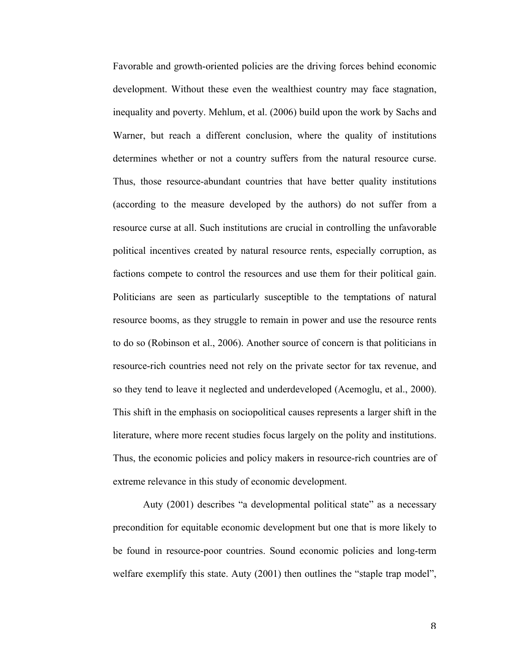Favorable and growth-oriented policies are the driving forces behind economic development. Without these even the wealthiest country may face stagnation, inequality and poverty. Mehlum, et al. (2006) build upon the work by Sachs and Warner, but reach a different conclusion, where the quality of institutions determines whether or not a country suffers from the natural resource curse. Thus, those resource-abundant countries that have better quality institutions (according to the measure developed by the authors) do not suffer from a resource curse at all. Such institutions are crucial in controlling the unfavorable political incentives created by natural resource rents, especially corruption, as factions compete to control the resources and use them for their political gain. Politicians are seen as particularly susceptible to the temptations of natural resource booms, as they struggle to remain in power and use the resource rents to do so (Robinson et al., 2006). Another source of concern is that politicians in resource-rich countries need not rely on the private sector for tax revenue, and so they tend to leave it neglected and underdeveloped (Acemoglu, et al., 2000). This shift in the emphasis on sociopolitical causes represents a larger shift in the literature, where more recent studies focus largely on the polity and institutions. Thus, the economic policies and policy makers in resource-rich countries are of extreme relevance in this study of economic development.

Auty (2001) describes "a developmental political state" as a necessary precondition for equitable economic development but one that is more likely to be found in resource-poor countries. Sound economic policies and long-term welfare exemplify this state. Auty (2001) then outlines the "staple trap model",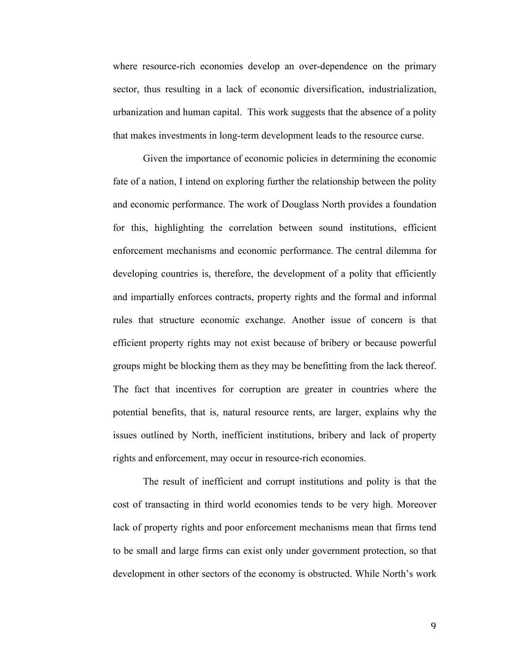where resource-rich economies develop an over-dependence on the primary sector, thus resulting in a lack of economic diversification, industrialization, urbanization and human capital. This work suggests that the absence of a polity that makes investments in long-term development leads to the resource curse.

Given the importance of economic policies in determining the economic fate of a nation, I intend on exploring further the relationship between the polity and economic performance. The work of Douglass North provides a foundation for this, highlighting the correlation between sound institutions, efficient enforcement mechanisms and economic performance. The central dilemma for developing countries is, therefore, the development of a polity that efficiently and impartially enforces contracts, property rights and the formal and informal rules that structure economic exchange. Another issue of concern is that efficient property rights may not exist because of bribery or because powerful groups might be blocking them as they may be benefitting from the lack thereof. The fact that incentives for corruption are greater in countries where the potential benefits, that is, natural resource rents, are larger, explains why the issues outlined by North, inefficient institutions, bribery and lack of property rights and enforcement, may occur in resource-rich economies.

The result of inefficient and corrupt institutions and polity is that the cost of transacting in third world economies tends to be very high. Moreover lack of property rights and poor enforcement mechanisms mean that firms tend to be small and large firms can exist only under government protection, so that development in other sectors of the economy is obstructed. While North's work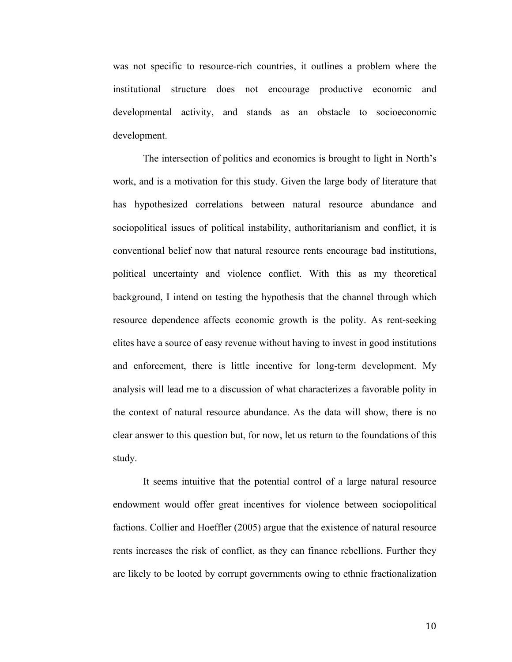was not specific to resource-rich countries, it outlines a problem where the institutional structure does not encourage productive economic and developmental activity, and stands as an obstacle to socioeconomic development.

The intersection of politics and economics is brought to light in North's work, and is a motivation for this study. Given the large body of literature that has hypothesized correlations between natural resource abundance and sociopolitical issues of political instability, authoritarianism and conflict, it is conventional belief now that natural resource rents encourage bad institutions, political uncertainty and violence conflict. With this as my theoretical background, I intend on testing the hypothesis that the channel through which resource dependence affects economic growth is the polity. As rent-seeking elites have a source of easy revenue without having to invest in good institutions and enforcement, there is little incentive for long-term development. My analysis will lead me to a discussion of what characterizes a favorable polity in the context of natural resource abundance. As the data will show, there is no clear answer to this question but, for now, let us return to the foundations of this study.

It seems intuitive that the potential control of a large natural resource endowment would offer great incentives for violence between sociopolitical factions. Collier and Hoeffler (2005) argue that the existence of natural resource rents increases the risk of conflict, as they can finance rebellions. Further they are likely to be looted by corrupt governments owing to ethnic fractionalization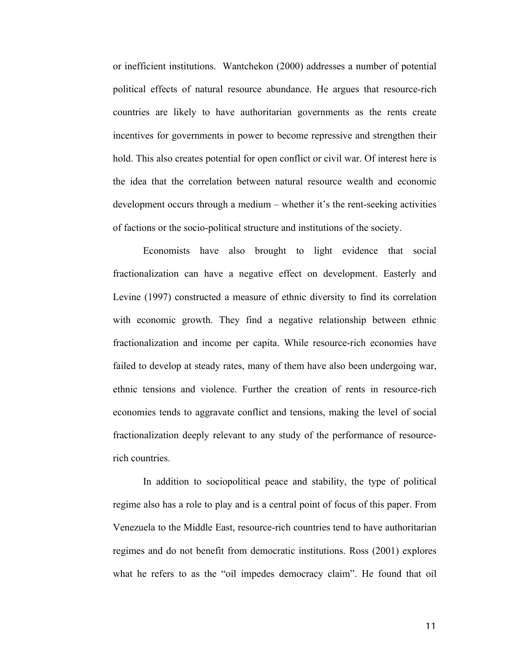or inefficient institutions. Wantchekon (2000) addresses a number of potential political effects of natural resource abundance. He argues that resource-rich countries are likely to have authoritarian governments as the rents create incentives for governments in power to become repressive and strengthen their hold. This also creates potential for open conflict or civil war. Of interest here is the idea that the correlation between natural resource wealth and economic development occurs through a medium – whether it's the rent-seeking activities of factions or the socio-political structure and institutions of the society.

Economists have also brought to light evidence that social fractionalization can have a negative effect on development. Easterly and Levine (1997) constructed a measure of ethnic diversity to find its correlation with economic growth. They find a negative relationship between ethnic fractionalization and income per capita. While resource-rich economies have failed to develop at steady rates, many of them have also been undergoing war, ethnic tensions and violence. Further the creation of rents in resource-rich economies tends to aggravate conflict and tensions, making the level of social fractionalization deeply relevant to any study of the performance of resourcerich countries.

In addition to sociopolitical peace and stability, the type of political regime also has a role to play and is a central point of focus of this paper. From Venezuela to the Middle East, resource-rich countries tend to have authoritarian regimes and do not benefit from democratic institutions. Ross (2001) explores what he refers to as the "oil impedes democracy claim". He found that oil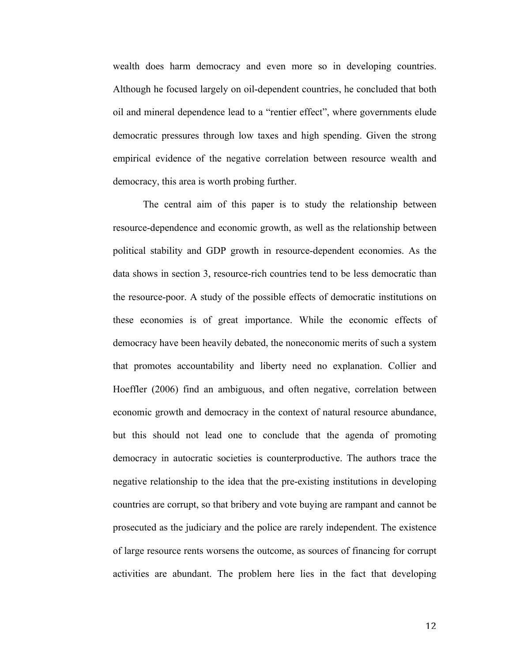wealth does harm democracy and even more so in developing countries. Although he focused largely on oil-dependent countries, he concluded that both oil and mineral dependence lead to a "rentier effect", where governments elude democratic pressures through low taxes and high spending. Given the strong empirical evidence of the negative correlation between resource wealth and democracy, this area is worth probing further.

The central aim of this paper is to study the relationship between resource-dependence and economic growth, as well as the relationship between political stability and GDP growth in resource-dependent economies. As the data shows in section 3, resource-rich countries tend to be less democratic than the resource-poor. A study of the possible effects of democratic institutions on these economies is of great importance. While the economic effects of democracy have been heavily debated, the noneconomic merits of such a system that promotes accountability and liberty need no explanation. Collier and Hoeffler (2006) find an ambiguous, and often negative, correlation between economic growth and democracy in the context of natural resource abundance, but this should not lead one to conclude that the agenda of promoting democracy in autocratic societies is counterproductive. The authors trace the negative relationship to the idea that the pre-existing institutions in developing countries are corrupt, so that bribery and vote buying are rampant and cannot be prosecuted as the judiciary and the police are rarely independent. The existence of large resource rents worsens the outcome, as sources of financing for corrupt activities are abundant. The problem here lies in the fact that developing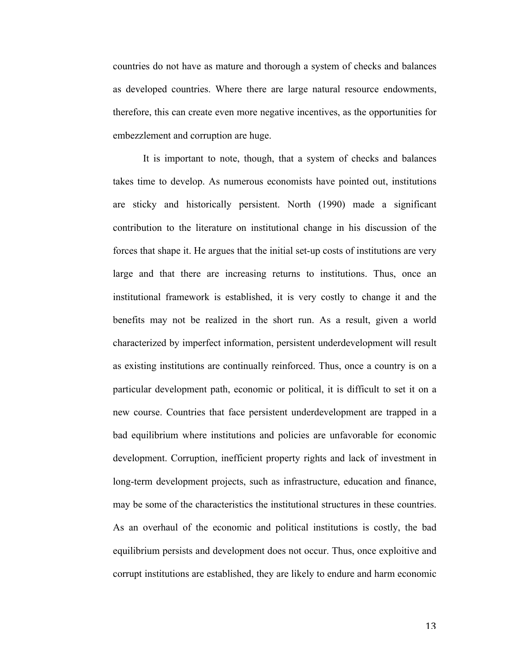countries do not have as mature and thorough a system of checks and balances as developed countries. Where there are large natural resource endowments, therefore, this can create even more negative incentives, as the opportunities for embezzlement and corruption are huge.

It is important to note, though, that a system of checks and balances takes time to develop. As numerous economists have pointed out, institutions are sticky and historically persistent. North (1990) made a significant contribution to the literature on institutional change in his discussion of the forces that shape it. He argues that the initial set-up costs of institutions are very large and that there are increasing returns to institutions. Thus, once an institutional framework is established, it is very costly to change it and the benefits may not be realized in the short run. As a result, given a world characterized by imperfect information, persistent underdevelopment will result as existing institutions are continually reinforced. Thus, once a country is on a particular development path, economic or political, it is difficult to set it on a new course. Countries that face persistent underdevelopment are trapped in a bad equilibrium where institutions and policies are unfavorable for economic development. Corruption, inefficient property rights and lack of investment in long-term development projects, such as infrastructure, education and finance, may be some of the characteristics the institutional structures in these countries. As an overhaul of the economic and political institutions is costly, the bad equilibrium persists and development does not occur. Thus, once exploitive and corrupt institutions are established, they are likely to endure and harm economic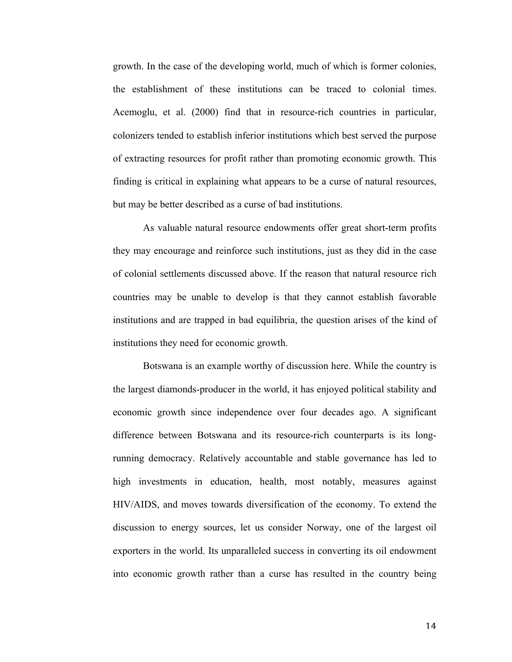growth. In the case of the developing world, much of which is former colonies, the establishment of these institutions can be traced to colonial times. Acemoglu, et al. (2000) find that in resource-rich countries in particular, colonizers tended to establish inferior institutions which best served the purpose of extracting resources for profit rather than promoting economic growth. This finding is critical in explaining what appears to be a curse of natural resources, but may be better described as a curse of bad institutions.

As valuable natural resource endowments offer great short-term profits they may encourage and reinforce such institutions, just as they did in the case of colonial settlements discussed above. If the reason that natural resource rich countries may be unable to develop is that they cannot establish favorable institutions and are trapped in bad equilibria, the question arises of the kind of institutions they need for economic growth.

Botswana is an example worthy of discussion here. While the country is the largest diamonds-producer in the world, it has enjoyed political stability and economic growth since independence over four decades ago. A significant difference between Botswana and its resource-rich counterparts is its longrunning democracy. Relatively accountable and stable governance has led to high investments in education, health, most notably, measures against HIV/AIDS, and moves towards diversification of the economy. To extend the discussion to energy sources, let us consider Norway, one of the largest oil exporters in the world. Its unparalleled success in converting its oil endowment into economic growth rather than a curse has resulted in the country being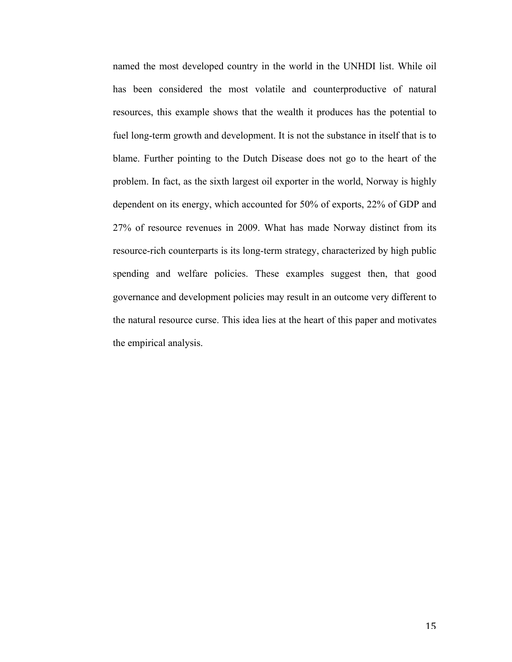named the most developed country in the world in the UNHDI list. While oil has been considered the most volatile and counterproductive of natural resources, this example shows that the wealth it produces has the potential to fuel long-term growth and development. It is not the substance in itself that is to blame. Further pointing to the Dutch Disease does not go to the heart of the problem. In fact, as the sixth largest oil exporter in the world, Norway is highly dependent on its energy, which accounted for 50% of exports, 22% of GDP and 27% of resource revenues in 2009. What has made Norway distinct from its resource-rich counterparts is its long-term strategy, characterized by high public spending and welfare policies. These examples suggest then, that good governance and development policies may result in an outcome very different to the natural resource curse. This idea lies at the heart of this paper and motivates the empirical analysis.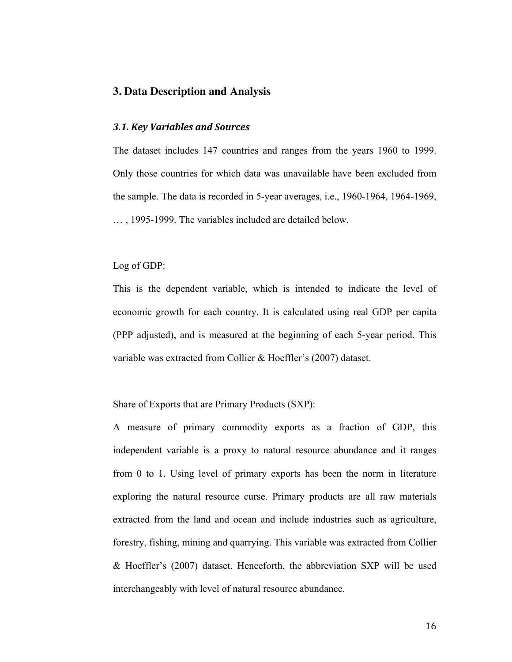#### **3. Data Description and Analysis**

#### *3.1. Key Variables and Sources*

The dataset includes 147 countries and ranges from the years 1960 to 1999. Only those countries for which data was unavailable have been excluded from the sample. The data is recorded in 5-year averages, i.e., 1960-1964, 1964-1969, … , 1995-1999. The variables included are detailed below.

Log of GDP:

This is the dependent variable, which is intended to indicate the level of economic growth for each country. It is calculated using real GDP per capita (PPP adjusted), and is measured at the beginning of each 5-year period. This variable was extracted from Collier & Hoeffler's (2007) dataset.

Share of Exports that are Primary Products (SXP):

A measure of primary commodity exports as a fraction of GDP, this independent variable is a proxy to natural resource abundance and it ranges from 0 to 1. Using level of primary exports has been the norm in literature exploring the natural resource curse. Primary products are all raw materials extracted from the land and ocean and include industries such as agriculture, forestry, fishing, mining and quarrying. This variable was extracted from Collier & Hoeffler's (2007) dataset. Henceforth, the abbreviation SXP will be used interchangeably with level of natural resource abundance.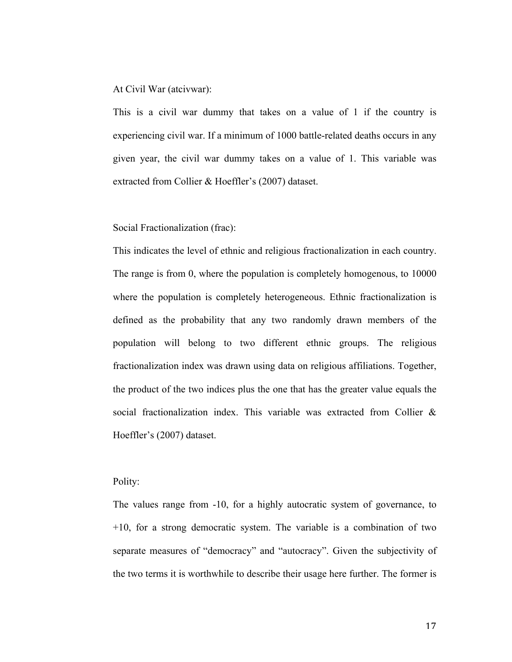At Civil War (atcivwar):

This is a civil war dummy that takes on a value of 1 if the country is experiencing civil war. If a minimum of 1000 battle-related deaths occurs in any given year, the civil war dummy takes on a value of 1. This variable was extracted from Collier & Hoeffler's (2007) dataset.

Social Fractionalization (frac):

This indicates the level of ethnic and religious fractionalization in each country. The range is from 0, where the population is completely homogenous, to 10000 where the population is completely heterogeneous. Ethnic fractionalization is defined as the probability that any two randomly drawn members of the population will belong to two different ethnic groups. The religious fractionalization index was drawn using data on religious affiliations. Together, the product of the two indices plus the one that has the greater value equals the social fractionalization index. This variable was extracted from Collier & Hoeffler's (2007) dataset.

Polity:

The values range from -10, for a highly autocratic system of governance, to  $+10$ , for a strong democratic system. The variable is a combination of two separate measures of "democracy" and "autocracy". Given the subjectivity of the two terms it is worthwhile to describe their usage here further. The former is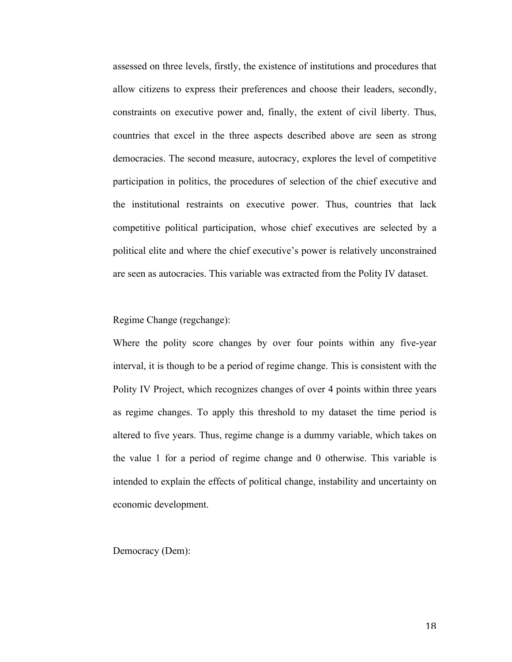assessed on three levels, firstly, the existence of institutions and procedures that allow citizens to express their preferences and choose their leaders, secondly, constraints on executive power and, finally, the extent of civil liberty. Thus, countries that excel in the three aspects described above are seen as strong democracies. The second measure, autocracy, explores the level of competitive participation in politics, the procedures of selection of the chief executive and the institutional restraints on executive power. Thus, countries that lack competitive political participation, whose chief executives are selected by a political elite and where the chief executive's power is relatively unconstrained are seen as autocracies. This variable was extracted from the Polity IV dataset.

#### Regime Change (regchange):

Where the polity score changes by over four points within any five-year interval, it is though to be a period of regime change. This is consistent with the Polity IV Project, which recognizes changes of over 4 points within three years as regime changes. To apply this threshold to my dataset the time period is altered to five years. Thus, regime change is a dummy variable, which takes on the value 1 for a period of regime change and 0 otherwise. This variable is intended to explain the effects of political change, instability and uncertainty on economic development.

Democracy (Dem):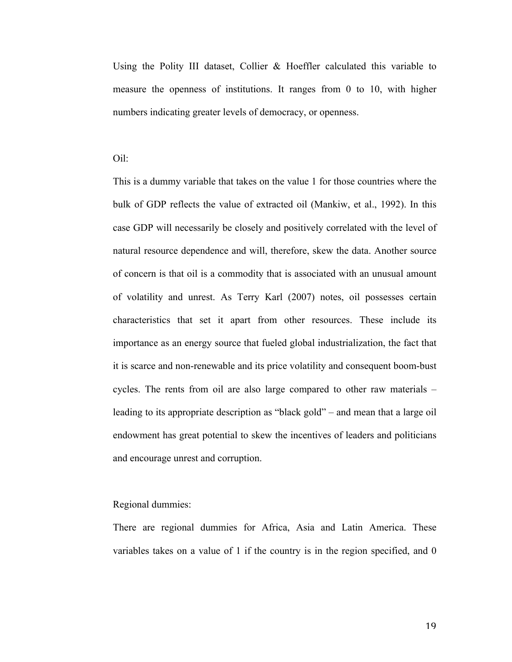Using the Polity III dataset, Collier & Hoeffler calculated this variable to measure the openness of institutions. It ranges from 0 to 10, with higher numbers indicating greater levels of democracy, or openness.

#### Oil:

This is a dummy variable that takes on the value 1 for those countries where the bulk of GDP reflects the value of extracted oil (Mankiw, et al., 1992). In this case GDP will necessarily be closely and positively correlated with the level of natural resource dependence and will, therefore, skew the data. Another source of concern is that oil is a commodity that is associated with an unusual amount of volatility and unrest. As Terry Karl (2007) notes, oil possesses certain characteristics that set it apart from other resources. These include its importance as an energy source that fueled global industrialization, the fact that it is scarce and non-renewable and its price volatility and consequent boom-bust cycles. The rents from oil are also large compared to other raw materials – leading to its appropriate description as "black gold" – and mean that a large oil endowment has great potential to skew the incentives of leaders and politicians and encourage unrest and corruption.

#### Regional dummies:

There are regional dummies for Africa, Asia and Latin America. These variables takes on a value of 1 if the country is in the region specified, and 0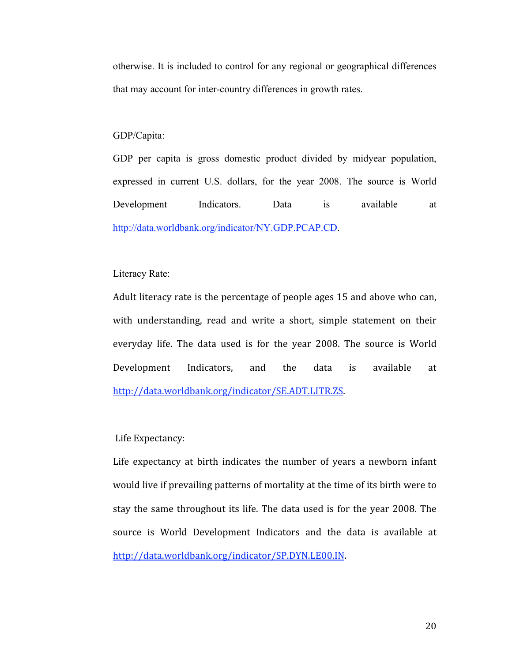otherwise. It is included to control for any regional or geographical differences that may account for inter-country differences in growth rates.

#### GDP/Capita:

GDP per capita is gross domestic product divided by midyear population, expressed in current U.S. dollars, for the year 2008. The source is World Development Indicators. Data is available at http://data.worldbank.org/indicator/NY.GDP.PCAP.CD.

#### Literacy Rate:

Adult literacy rate is the percentage of people ages 15 and above who can, with understanding, read and write a short, simple statement on their everyday life. The data used is for the year 2008. The source is World Development Indicators, and the data is available at http://data.worldbank.org/indicator/SE.ADT.LITR.ZS.

#### Life Expectancy:

Life expectancy at birth indicates the number of years a newborn infant would live if prevailing patterns of mortality at the time of its birth were to stay the same throughout its life. The data used is for the year 2008. The source is World Development Indicators and the data is available at http://data.worldbank.org/indicator/SP.DYN.LE00.IN.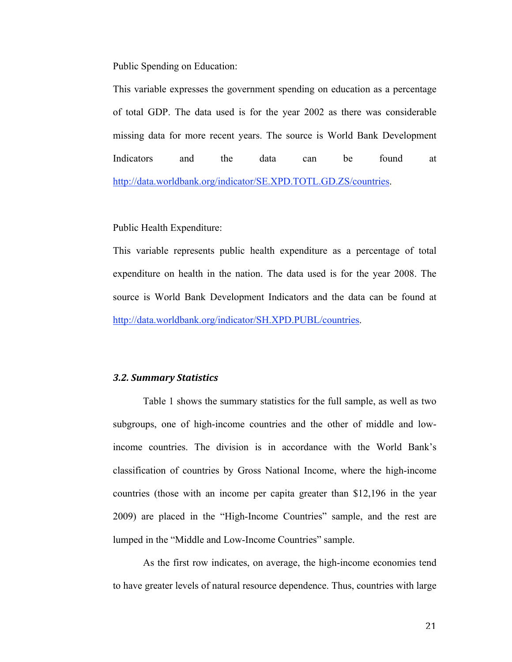Public Spending on Education:

This variable expresses the government spending on education as a percentage of total GDP. The data used is for the year 2002 as there was considerable missing data for more recent years. The source is World Bank Development Indicators and the data can be found at http://data.worldbank.org/indicator/SE.XPD.TOTL.GD.ZS/countries.

Public Health Expenditure:

This variable represents public health expenditure as a percentage of total expenditure on health in the nation. The data used is for the year 2008. The source is World Bank Development Indicators and the data can be found at http://data.worldbank.org/indicator/SH.XPD.PUBL/countries.

#### *3.2. Summary Statistics*

Table 1 shows the summary statistics for the full sample, as well as two subgroups, one of high-income countries and the other of middle and lowincome countries. The division is in accordance with the World Bank's classification of countries by Gross National Income, where the high-income countries (those with an income per capita greater than \$12,196 in the year 2009) are placed in the "High-Income Countries" sample, and the rest are lumped in the "Middle and Low-Income Countries" sample.

As the first row indicates, on average, the high-income economies tend to have greater levels of natural resource dependence. Thus, countries with large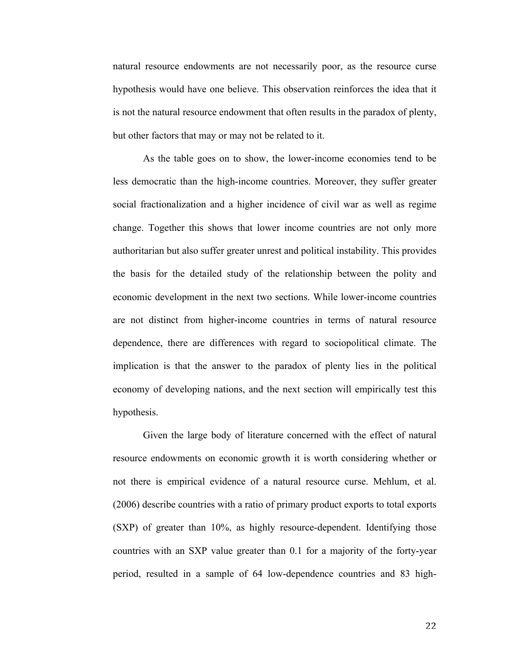natural resource endowments are not necessarily poor, as the resource curse hypothesis would have one believe. This observation reinforces the idea that it is not the natural resource endowment that often results in the paradox of plenty, but other factors that may or may not be related to it.

As the table goes on to show, the lower-income economies tend to be less democratic than the high-income countries. Moreover, they suffer greater social fractionalization and a higher incidence of civil war as well as regime change. Together this shows that lower income countries are not only more authoritarian but also suffer greater unrest and political instability. This provides the basis for the detailed study of the relationship between the polity and economic development in the next two sections. While lower-income countries are not distinct from higher-income countries in terms of natural resource dependence, there are differences with regard to sociopolitical climate. The implication is that the answer to the paradox of plenty lies in the political economy of developing nations, and the next section will empirically test this hypothesis.

Given the large body of literature concerned with the effect of natural resource endowments on economic growth it is worth considering whether or not there is empirical evidence of a natural resource curse. Mehlum, et al. (2006) describe countries with a ratio of primary product exports to total exports (SXP) of greater than 10%, as highly resource-dependent. Identifying those countries with an SXP value greater than 0.1 for a majority of the forty-year period, resulted in a sample of 64 low-dependence countries and 83 high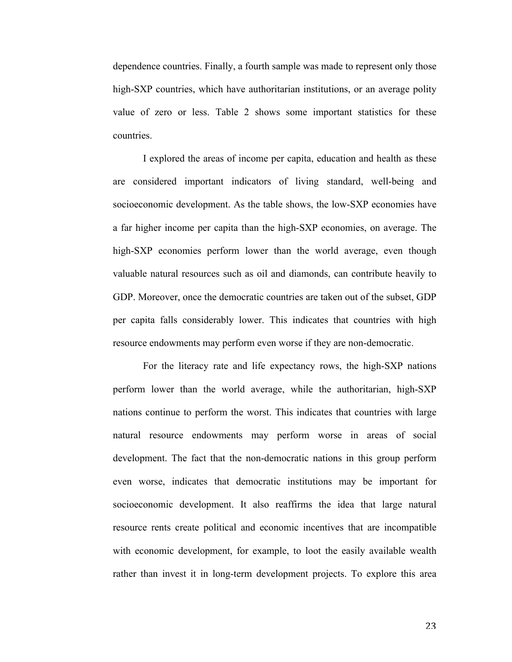dependence countries. Finally, a fourth sample was made to represent only those high-SXP countries, which have authoritarian institutions, or an average polity value of zero or less. Table 2 shows some important statistics for these countries.

I explored the areas of income per capita, education and health as these are considered important indicators of living standard, well-being and socioeconomic development. As the table shows, the low-SXP economies have a far higher income per capita than the high-SXP economies, on average. The high-SXP economies perform lower than the world average, even though valuable natural resources such as oil and diamonds, can contribute heavily to GDP. Moreover, once the democratic countries are taken out of the subset, GDP per capita falls considerably lower. This indicates that countries with high resource endowments may perform even worse if they are non-democratic.

For the literacy rate and life expectancy rows, the high-SXP nations perform lower than the world average, while the authoritarian, high-SXP nations continue to perform the worst. This indicates that countries with large natural resource endowments may perform worse in areas of social development. The fact that the non-democratic nations in this group perform even worse, indicates that democratic institutions may be important for socioeconomic development. It also reaffirms the idea that large natural resource rents create political and economic incentives that are incompatible with economic development, for example, to loot the easily available wealth rather than invest it in long-term development projects. To explore this area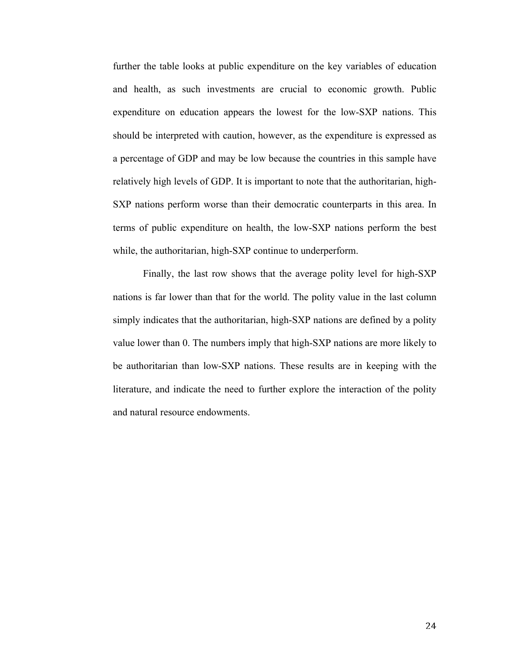further the table looks at public expenditure on the key variables of education and health, as such investments are crucial to economic growth. Public expenditure on education appears the lowest for the low-SXP nations. This should be interpreted with caution, however, as the expenditure is expressed as a percentage of GDP and may be low because the countries in this sample have relatively high levels of GDP. It is important to note that the authoritarian, high-SXP nations perform worse than their democratic counterparts in this area. In terms of public expenditure on health, the low-SXP nations perform the best while, the authoritarian, high-SXP continue to underperform.

Finally, the last row shows that the average polity level for high-SXP nations is far lower than that for the world. The polity value in the last column simply indicates that the authoritarian, high-SXP nations are defined by a polity value lower than 0. The numbers imply that high-SXP nations are more likely to be authoritarian than low-SXP nations. These results are in keeping with the literature, and indicate the need to further explore the interaction of the polity and natural resource endowments.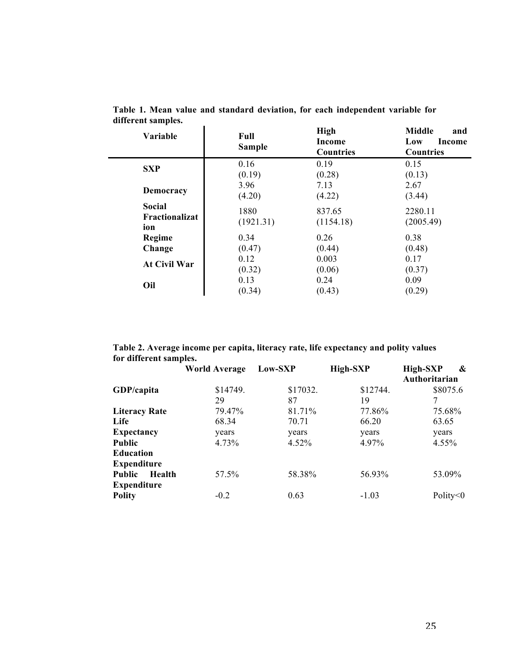| Variable            | Full<br><b>Sample</b> | <b>High</b><br>Income<br><b>Countries</b> | <b>Middle</b><br>and<br>Low<br>Income<br><b>Countries</b> |
|---------------------|-----------------------|-------------------------------------------|-----------------------------------------------------------|
| <b>SXP</b>          | 0.16                  | 0.19                                      | 0.15                                                      |
|                     | (0.19)                | (0.28)                                    | (0.13)                                                    |
| Democracy           | 3.96                  | 7.13                                      | 2.67                                                      |
|                     | (4.20)                | (4.22)                                    | (3.44)                                                    |
| Social              | 1880                  | 837.65                                    | 2280.11                                                   |
| Fractionalizat      | (1921.31)             | (1154.18)                                 | (2005.49)                                                 |
| ion                 |                       |                                           |                                                           |
| Regime              | 0.34                  | 0.26                                      | 0.38                                                      |
| Change              | (0.47)                | (0.44)                                    | (0.48)                                                    |
| <b>At Civil War</b> | 0.12                  | 0.003                                     | 0.17                                                      |
|                     | (0.32)                | (0.06)                                    | (0.37)                                                    |
| Oil                 | 0.13                  | 0.24                                      | 0.09                                                      |
|                     | (0.34)                | (0.43)                                    | (0.29)                                                    |

**Table 1. Mean value and standard deviation, for each independent variable for different samples.**  $\overline{1}$ 

**Table 2. Average income per capita, literacy rate, life expectancy and polity values for different samples.**

|                         | <b>World Average</b> | Low-SXP  | <b>High-SXP</b> | <b>High-SXP</b><br>&<br>Authoritarian |
|-------------------------|----------------------|----------|-----------------|---------------------------------------|
| GDP/capita              | \$14749.             | \$17032. | \$12744.        | \$8075.6                              |
|                         | 29                   | 87       | 19              | 7                                     |
| <b>Literacy Rate</b>    | 79.47%               | 81.71%   | 77.86%          | 75.68%                                |
| Life                    | 68.34                | 70.71    | 66.20           | 63.65                                 |
| <b>Expectancy</b>       | years                | years    | years           | years                                 |
| <b>Public</b>           | 4.73%                | 4.52%    | 4.97%           | 4.55%                                 |
| <b>Education</b>        |                      |          |                 |                                       |
| <b>Expenditure</b>      |                      |          |                 |                                       |
| <b>Public</b><br>Health | 57.5%                | 58.38%   | 56.93%          | 53.09%                                |
| <b>Expenditure</b>      |                      |          |                 |                                       |
| <b>Polity</b>           | $-0.2$               | 0.63     | $-1.03$         | Polity $<$ 0                          |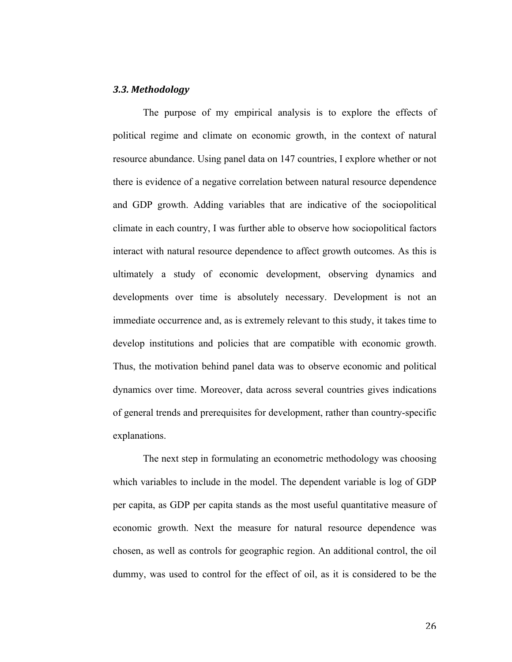#### *3.3. Methodology*

The purpose of my empirical analysis is to explore the effects of political regime and climate on economic growth, in the context of natural resource abundance. Using panel data on 147 countries, I explore whether or not there is evidence of a negative correlation between natural resource dependence and GDP growth. Adding variables that are indicative of the sociopolitical climate in each country, I was further able to observe how sociopolitical factors interact with natural resource dependence to affect growth outcomes. As this is ultimately a study of economic development, observing dynamics and developments over time is absolutely necessary. Development is not an immediate occurrence and, as is extremely relevant to this study, it takes time to develop institutions and policies that are compatible with economic growth. Thus, the motivation behind panel data was to observe economic and political dynamics over time. Moreover, data across several countries gives indications of general trends and prerequisites for development, rather than country-specific explanations.

The next step in formulating an econometric methodology was choosing which variables to include in the model. The dependent variable is log of GDP per capita, as GDP per capita stands as the most useful quantitative measure of economic growth. Next the measure for natural resource dependence was chosen, as well as controls for geographic region. An additional control, the oil dummy, was used to control for the effect of oil, as it is considered to be the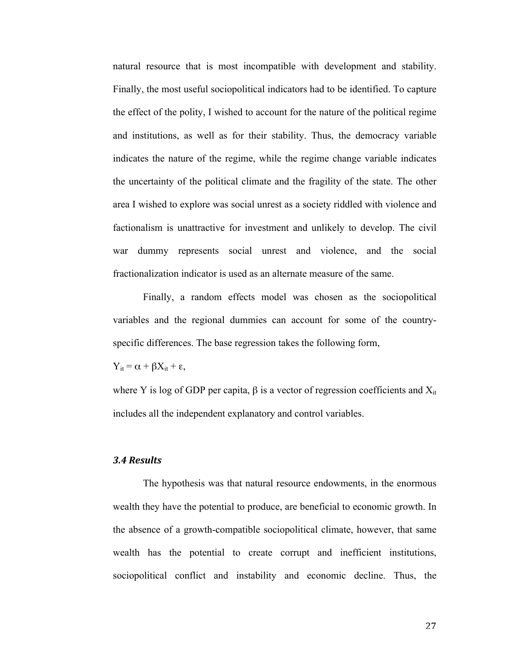natural resource that is most incompatible with development and stability. Finally, the most useful sociopolitical indicators had to be identified. To capture the effect of the polity, I wished to account for the nature of the political regime and institutions, as well as for their stability. Thus, the democracy variable indicates the nature of the regime, while the regime change variable indicates the uncertainty of the political climate and the fragility of the state. The other area I wished to explore was social unrest as a society riddled with violence and factionalism is unattractive for investment and unlikely to develop. The civil war dummy represents social unrest and violence, and the social fractionalization indicator is used as an alternate measure of the same.

Finally, a random effects model was chosen as the sociopolitical variables and the regional dummies can account for some of the countryspecific differences. The base regression takes the following form,

 $Y_{it} = \alpha + \beta X_{it} + \varepsilon$ ,

where Y is log of GDP per capita,  $\beta$  is a vector of regression coefficients and  $X_{it}$ includes all the independent explanatory and control variables.

#### *3.4 Results*

The hypothesis was that natural resource endowments, in the enormous wealth they have the potential to produce, are beneficial to economic growth. In the absence of a growth-compatible sociopolitical climate, however, that same wealth has the potential to create corrupt and inefficient institutions, sociopolitical conflict and instability and economic decline. Thus, the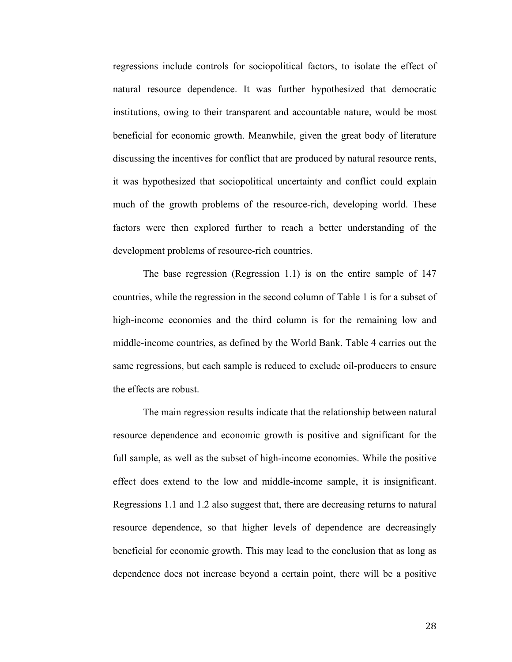regressions include controls for sociopolitical factors, to isolate the effect of natural resource dependence. It was further hypothesized that democratic institutions, owing to their transparent and accountable nature, would be most beneficial for economic growth. Meanwhile, given the great body of literature discussing the incentives for conflict that are produced by natural resource rents, it was hypothesized that sociopolitical uncertainty and conflict could explain much of the growth problems of the resource-rich, developing world. These factors were then explored further to reach a better understanding of the development problems of resource-rich countries.

The base regression (Regression 1.1) is on the entire sample of 147 countries, while the regression in the second column of Table 1 is for a subset of high-income economies and the third column is for the remaining low and middle-income countries, as defined by the World Bank. Table 4 carries out the same regressions, but each sample is reduced to exclude oil-producers to ensure the effects are robust.

The main regression results indicate that the relationship between natural resource dependence and economic growth is positive and significant for the full sample, as well as the subset of high-income economies. While the positive effect does extend to the low and middle-income sample, it is insignificant. Regressions 1.1 and 1.2 also suggest that, there are decreasing returns to natural resource dependence, so that higher levels of dependence are decreasingly beneficial for economic growth. This may lead to the conclusion that as long as dependence does not increase beyond a certain point, there will be a positive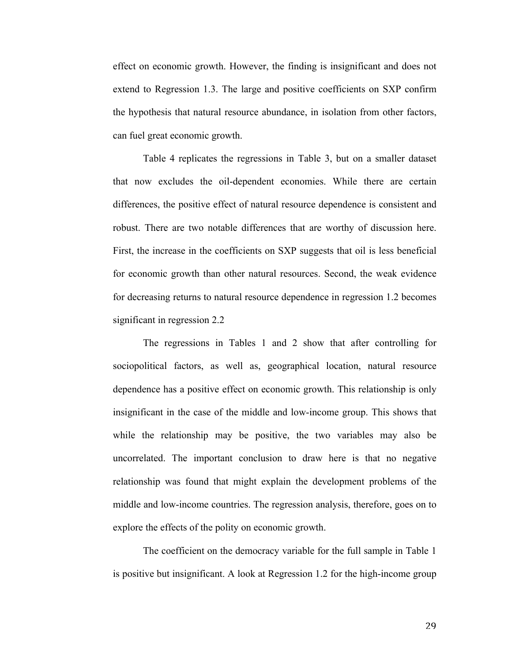effect on economic growth. However, the finding is insignificant and does not extend to Regression 1.3. The large and positive coefficients on SXP confirm the hypothesis that natural resource abundance, in isolation from other factors, can fuel great economic growth.

Table 4 replicates the regressions in Table 3, but on a smaller dataset that now excludes the oil-dependent economies. While there are certain differences, the positive effect of natural resource dependence is consistent and robust. There are two notable differences that are worthy of discussion here. First, the increase in the coefficients on SXP suggests that oil is less beneficial for economic growth than other natural resources. Second, the weak evidence for decreasing returns to natural resource dependence in regression 1.2 becomes significant in regression 2.2

The regressions in Tables 1 and 2 show that after controlling for sociopolitical factors, as well as, geographical location, natural resource dependence has a positive effect on economic growth. This relationship is only insignificant in the case of the middle and low-income group. This shows that while the relationship may be positive, the two variables may also be uncorrelated. The important conclusion to draw here is that no negative relationship was found that might explain the development problems of the middle and low-income countries. The regression analysis, therefore, goes on to explore the effects of the polity on economic growth.

The coefficient on the democracy variable for the full sample in Table 1 is positive but insignificant. A look at Regression 1.2 for the high-income group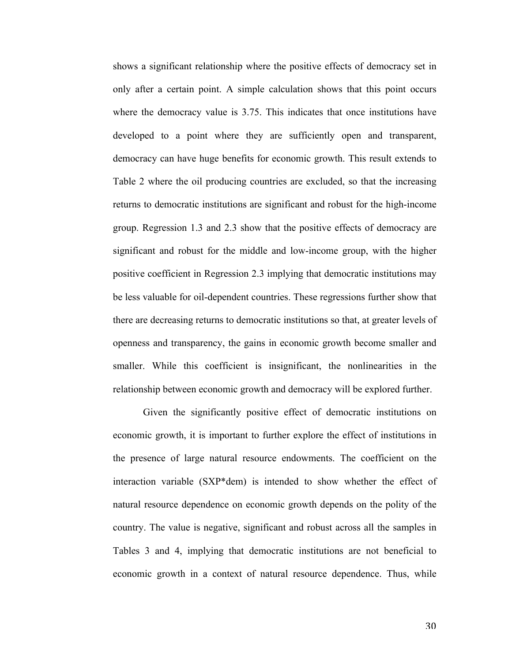shows a significant relationship where the positive effects of democracy set in only after a certain point. A simple calculation shows that this point occurs where the democracy value is 3.75. This indicates that once institutions have developed to a point where they are sufficiently open and transparent, democracy can have huge benefits for economic growth. This result extends to Table 2 where the oil producing countries are excluded, so that the increasing returns to democratic institutions are significant and robust for the high-income group. Regression 1.3 and 2.3 show that the positive effects of democracy are significant and robust for the middle and low-income group, with the higher positive coefficient in Regression 2.3 implying that democratic institutions may be less valuable for oil-dependent countries. These regressions further show that there are decreasing returns to democratic institutions so that, at greater levels of openness and transparency, the gains in economic growth become smaller and smaller. While this coefficient is insignificant, the nonlinearities in the relationship between economic growth and democracy will be explored further.

Given the significantly positive effect of democratic institutions on economic growth, it is important to further explore the effect of institutions in the presence of large natural resource endowments. The coefficient on the interaction variable (SXP\*dem) is intended to show whether the effect of natural resource dependence on economic growth depends on the polity of the country. The value is negative, significant and robust across all the samples in Tables 3 and 4, implying that democratic institutions are not beneficial to economic growth in a context of natural resource dependence. Thus, while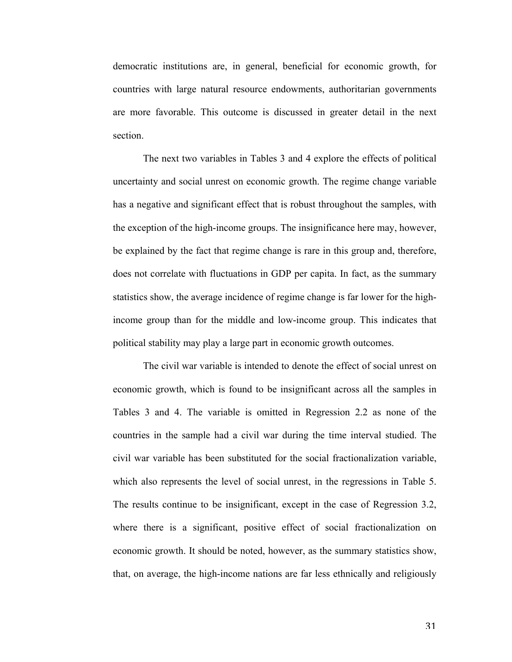democratic institutions are, in general, beneficial for economic growth, for countries with large natural resource endowments, authoritarian governments are more favorable. This outcome is discussed in greater detail in the next section.

The next two variables in Tables 3 and 4 explore the effects of political uncertainty and social unrest on economic growth. The regime change variable has a negative and significant effect that is robust throughout the samples, with the exception of the high-income groups. The insignificance here may, however, be explained by the fact that regime change is rare in this group and, therefore, does not correlate with fluctuations in GDP per capita. In fact, as the summary statistics show, the average incidence of regime change is far lower for the highincome group than for the middle and low-income group. This indicates that political stability may play a large part in economic growth outcomes.

The civil war variable is intended to denote the effect of social unrest on economic growth, which is found to be insignificant across all the samples in Tables 3 and 4. The variable is omitted in Regression 2.2 as none of the countries in the sample had a civil war during the time interval studied. The civil war variable has been substituted for the social fractionalization variable, which also represents the level of social unrest, in the regressions in Table 5. The results continue to be insignificant, except in the case of Regression 3.2, where there is a significant, positive effect of social fractionalization on economic growth. It should be noted, however, as the summary statistics show, that, on average, the high-income nations are far less ethnically and religiously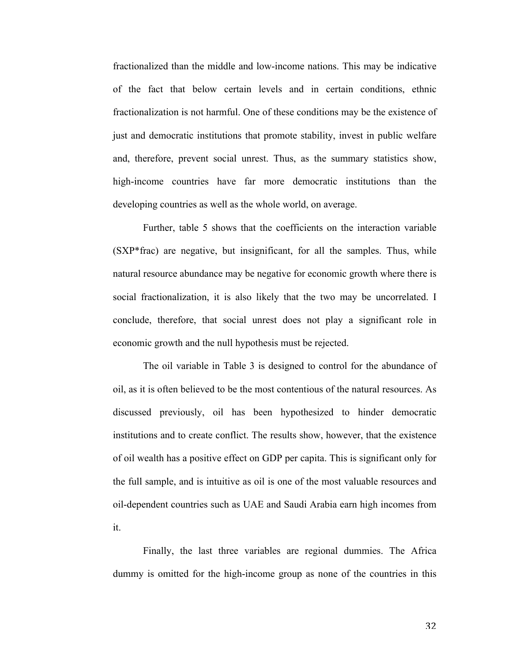fractionalized than the middle and low-income nations. This may be indicative of the fact that below certain levels and in certain conditions, ethnic fractionalization is not harmful. One of these conditions may be the existence of just and democratic institutions that promote stability, invest in public welfare and, therefore, prevent social unrest. Thus, as the summary statistics show, high-income countries have far more democratic institutions than the developing countries as well as the whole world, on average.

Further, table 5 shows that the coefficients on the interaction variable (SXP\*frac) are negative, but insignificant, for all the samples. Thus, while natural resource abundance may be negative for economic growth where there is social fractionalization, it is also likely that the two may be uncorrelated. I conclude, therefore, that social unrest does not play a significant role in economic growth and the null hypothesis must be rejected.

The oil variable in Table 3 is designed to control for the abundance of oil, as it is often believed to be the most contentious of the natural resources. As discussed previously, oil has been hypothesized to hinder democratic institutions and to create conflict. The results show, however, that the existence of oil wealth has a positive effect on GDP per capita. This is significant only for the full sample, and is intuitive as oil is one of the most valuable resources and oil-dependent countries such as UAE and Saudi Arabia earn high incomes from it.

Finally, the last three variables are regional dummies. The Africa dummy is omitted for the high-income group as none of the countries in this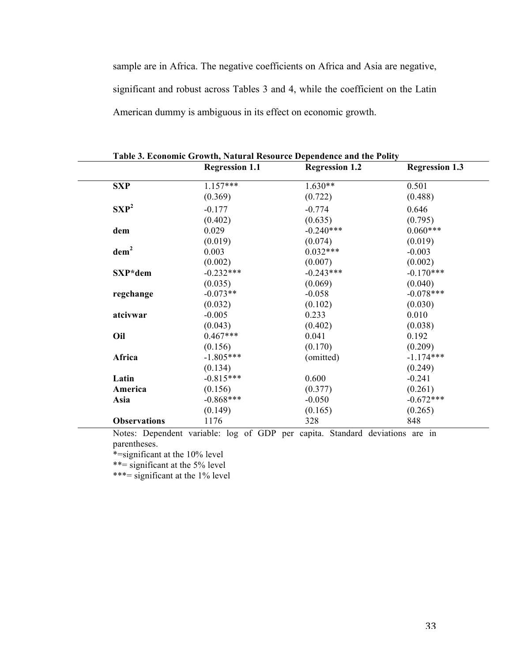sample are in Africa. The negative coefficients on Africa and Asia are negative, significant and robust across Tables 3 and 4, while the coefficient on the Latin American dummy is ambiguous in its effect on economic growth.

|                     | <b>Regression 1.1</b> | <b>Regression 1.2</b> | <b>Regression 1.3</b> |
|---------------------|-----------------------|-----------------------|-----------------------|
| <b>SXP</b>          | $1.157***$            | $1.630**$             | 0.501                 |
|                     | (0.369)               | (0.722)               | (0.488)               |
| $SXP^2$             | $-0.177$              | $-0.774$              | 0.646                 |
|                     | (0.402)               | (0.635)               | (0.795)               |
| dem                 | 0.029                 | $-0.240***$           | $0.060***$            |
|                     | (0.019)               | (0.074)               | (0.019)               |
| dem <sup>2</sup>    | 0.003                 | $0.032***$            | $-0.003$              |
|                     | (0.002)               | (0.007)               | (0.002)               |
| SXP*dem             | $-0.232***$           | $-0.243***$           | $-0.170***$           |
|                     | (0.035)               | (0.069)               | (0.040)               |
| regchange           | $-0.073**$            | $-0.058$              | $-0.078***$           |
|                     | (0.032)               | (0.102)               | (0.030)               |
| atcivwar            | $-0.005$              | 0.233                 | 0.010                 |
|                     | (0.043)               | (0.402)               | (0.038)               |
| Oil                 | $0.467***$            | 0.041                 | 0.192                 |
|                     | (0.156)               | (0.170)               | (0.209)               |
| Africa              | $-1.805***$           | (omitted)             | $-1.174***$           |
|                     | (0.134)               |                       | (0.249)               |
| Latin               | $-0.815***$           | 0.600                 | $-0.241$              |
| America             | (0.156)               | (0.377)               | (0.261)               |
| Asia                | $-0.868***$           | $-0.050$              | $-0.672***$           |
|                     | (0.149)               | (0.165)               | (0.265)               |
| <b>Observations</b> | 1176                  | 328                   | 848                   |

**Table 3. Economic Growth, Natural Resource Dependence and the Polity**

Notes: Dependent variable: log of GDP per capita. Standard deviations are in parentheses.

\*=significant at the 10% level

 $\overline{a}$ 

\*\*= significant at the 5% level

\*\*\*= significant at the 1% level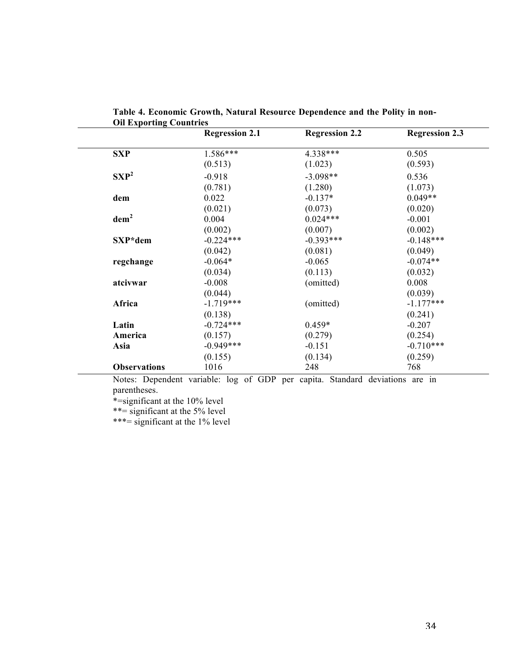|                     | <b>Regression 2.1</b> | <b>Regression 2.2</b> | <b>Regression 2.3</b> |
|---------------------|-----------------------|-----------------------|-----------------------|
| <b>SXP</b>          | 1.586***              | 4.338***              | 0.505                 |
|                     | (0.513)               | (1.023)               | (0.593)               |
| $SXP^2$             | $-0.918$              | $-3.098**$            | 0.536                 |
|                     | (0.781)               | (1.280)               | (1.073)               |
| dem                 | 0.022                 | $-0.137*$             | $0.049**$             |
|                     | (0.021)               | (0.073)               | (0.020)               |
| dem <sup>2</sup>    | 0.004                 | $0.024***$            | $-0.001$              |
|                     | (0.002)               | (0.007)               | (0.002)               |
| SXP*dem             | $-0.224***$           | $-0.393***$           | $-0.148***$           |
|                     | (0.042)               | (0.081)               | (0.049)               |
| regchange           | $-0.064*$             | $-0.065$              | $-0.074**$            |
|                     | (0.034)               | (0.113)               | (0.032)               |
| atcivwar            | $-0.008$              | (omitted)             | 0.008                 |
|                     | (0.044)               |                       | (0.039)               |
| Africa              | $-1.719***$           | (omitted)             | $-1.177***$           |
|                     | (0.138)               |                       | (0.241)               |
| Latin               | $-0.724***$           | $0.459*$              | $-0.207$              |
| America             | (0.157)               | (0.279)               | (0.254)               |
| Asia                | $-0.949***$           | $-0.151$              | $-0.710***$           |
|                     | (0.155)               | (0.134)               | (0.259)               |
| <b>Observations</b> | 1016                  | 248                   | 768                   |

**Table 4. Economic Growth, Natural Resource Dependence and the Polity in non-Oil Exporting Countries**

Notes: Dependent variable: log of GDP per capita. Standard deviations are in parentheses.

\*=significant at the 10% level

\*\*= significant at the 5% level

\*\*\*= significant at the 1% level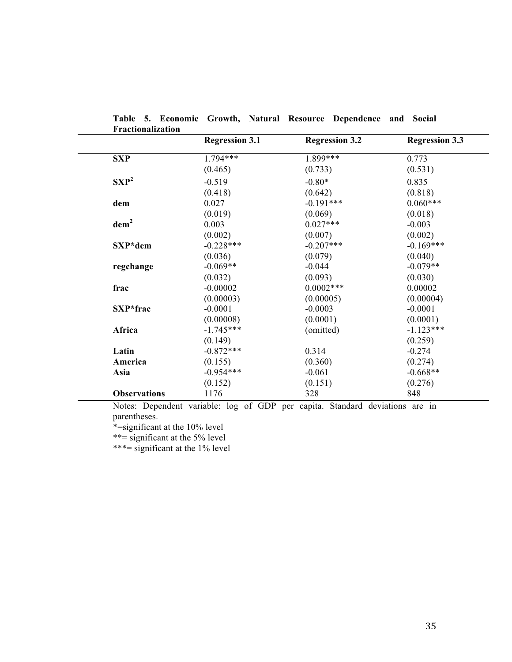|                     | <b>Regression 3.1</b>                                                        | <b>Regression 3.2</b> | <b>Regression 3.3</b> |
|---------------------|------------------------------------------------------------------------------|-----------------------|-----------------------|
| <b>SXP</b>          | 1.794***                                                                     | 1.899***              | 0.773                 |
|                     | (0.465)                                                                      | (0.733)               | (0.531)               |
| $SXP^2$             | $-0.519$                                                                     | $-0.80*$              | 0.835                 |
|                     | (0.418)                                                                      | (0.642)               | (0.818)               |
| dem                 | 0.027                                                                        | $-0.191***$           | $0.060***$            |
|                     | (0.019)                                                                      | (0.069)               | (0.018)               |
| dem <sup>2</sup>    | 0.003                                                                        | $0.027***$            | $-0.003$              |
|                     | (0.002)                                                                      | (0.007)               | (0.002)               |
| SXP*dem             | $-0.228***$                                                                  | $-0.207***$           | $-0.169***$           |
|                     | (0.036)                                                                      | (0.079)               | (0.040)               |
| regchange           | $-0.069**$                                                                   | $-0.044$              | $-0.079**$            |
|                     | (0.032)                                                                      | (0.093)               | (0.030)               |
| frac                | $-0.00002$                                                                   | $0.0002***$           | 0.00002               |
|                     | (0.00003)                                                                    | (0.00005)             | (0.00004)             |
| SXP*frac            | $-0.0001$                                                                    | $-0.0003$             | $-0.0001$             |
|                     | (0.00008)                                                                    | (0.0001)              | (0.0001)              |
| Africa              | $-1.745***$                                                                  | (omitted)             | $-1.123***$           |
|                     | (0.149)                                                                      |                       | (0.259)               |
| Latin               | $-0.872***$                                                                  | 0.314                 | $-0.274$              |
| America             | (0.155)                                                                      | (0.360)               | (0.274)               |
| Asia                | $-0.954***$                                                                  | $-0.061$              | $-0.668**$            |
|                     | (0.152)                                                                      | (0.151)               | (0.276)               |
| <b>Observations</b> | 1176                                                                         | 328                   | 848                   |
|                     | Notes: Dependent variable: log of GDP per capita. Standard deviations are in |                       |                       |

**Table 5. Economic Growth, Natural Resource Dependence and Social Fractionalization**

parentheses.

\*=significant at the 10% level

\*\*= significant at the 5% level

\*\*\*= significant at the 1% level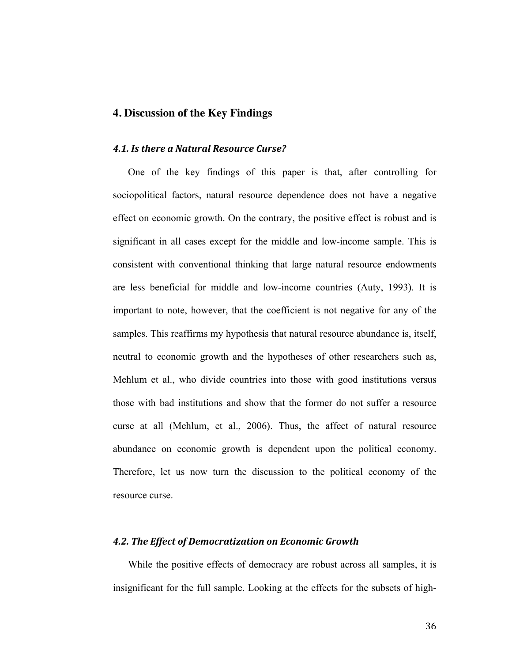#### **4. Discussion of the Key Findings**

#### *4.1. Is there a Natural Resource Curse?*

One of the key findings of this paper is that, after controlling for sociopolitical factors, natural resource dependence does not have a negative effect on economic growth. On the contrary, the positive effect is robust and is significant in all cases except for the middle and low-income sample. This is consistent with conventional thinking that large natural resource endowments are less beneficial for middle and low-income countries (Auty, 1993). It is important to note, however, that the coefficient is not negative for any of the samples. This reaffirms my hypothesis that natural resource abundance is, itself, neutral to economic growth and the hypotheses of other researchers such as, Mehlum et al., who divide countries into those with good institutions versus those with bad institutions and show that the former do not suffer a resource curse at all (Mehlum, et al., 2006). Thus, the affect of natural resource abundance on economic growth is dependent upon the political economy. Therefore, let us now turn the discussion to the political economy of the resource curse.

#### *4.2. The Effect of Democratization on Economic Growth*

While the positive effects of democracy are robust across all samples, it is insignificant for the full sample. Looking at the effects for the subsets of high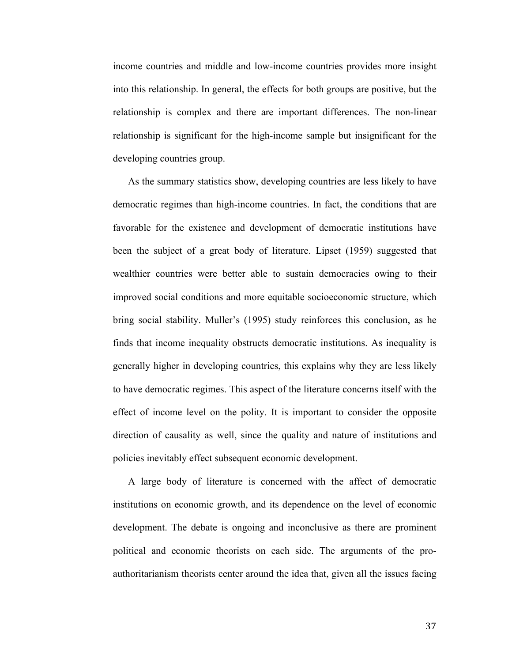income countries and middle and low-income countries provides more insight into this relationship. In general, the effects for both groups are positive, but the relationship is complex and there are important differences. The non-linear relationship is significant for the high-income sample but insignificant for the developing countries group.

As the summary statistics show, developing countries are less likely to have democratic regimes than high-income countries. In fact, the conditions that are favorable for the existence and development of democratic institutions have been the subject of a great body of literature. Lipset (1959) suggested that wealthier countries were better able to sustain democracies owing to their improved social conditions and more equitable socioeconomic structure, which bring social stability. Muller's (1995) study reinforces this conclusion, as he finds that income inequality obstructs democratic institutions. As inequality is generally higher in developing countries, this explains why they are less likely to have democratic regimes. This aspect of the literature concerns itself with the effect of income level on the polity. It is important to consider the opposite direction of causality as well, since the quality and nature of institutions and policies inevitably effect subsequent economic development.

A large body of literature is concerned with the affect of democratic institutions on economic growth, and its dependence on the level of economic development. The debate is ongoing and inconclusive as there are prominent political and economic theorists on each side. The arguments of the proauthoritarianism theorists center around the idea that, given all the issues facing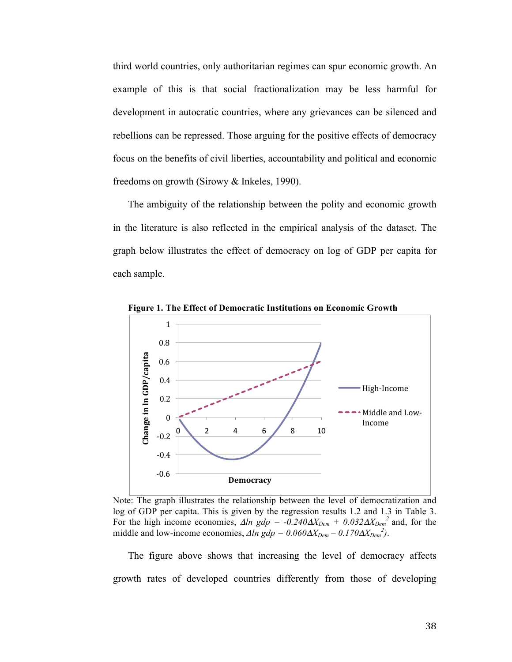third world countries, only authoritarian regimes can spur economic growth. An example of this is that social fractionalization may be less harmful for development in autocratic countries, where any grievances can be silenced and rebellions can be repressed. Those arguing for the positive effects of democracy focus on the benefits of civil liberties, accountability and political and economic freedoms on growth (Sirowy & Inkeles, 1990).

The ambiguity of the relationship between the polity and economic growth in the literature is also reflected in the empirical analysis of the dataset. The graph below illustrates the effect of democracy on log of GDP per capita for each sample.



**Figure 1. The Effect of Democratic Institutions on Economic Growth**

Note: The graph illustrates the relationship between the level of democratization and log of GDP per capita. This is given by the regression results 1.2 and 1.3 in Table 3. For the high income economies,  $\Delta ln$  gdp = -0.240 $\Delta X_{Dem}$  + 0.032 $\Delta X_{Dem}$ <sup>2</sup> and, for the middle and low-income economies,  $\Delta ln gdp = 0.060 \Delta X_{Dem} - 0.170 \Delta X_{Dem}^2$ .

The figure above shows that increasing the level of democracy affects growth rates of developed countries differently from those of developing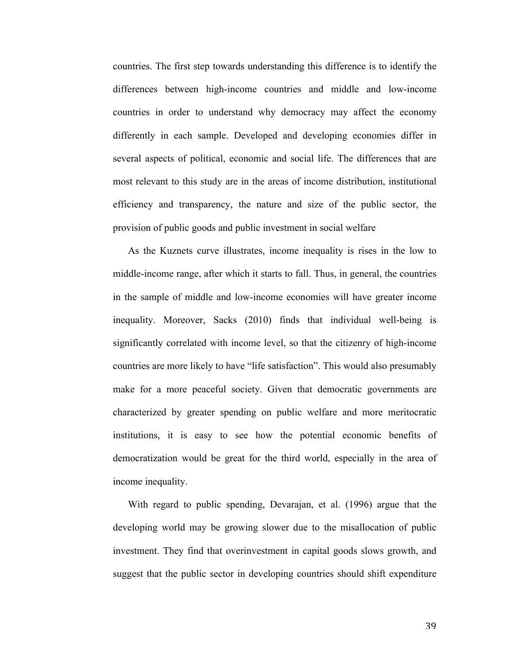countries. The first step towards understanding this difference is to identify the differences between high-income countries and middle and low-income countries in order to understand why democracy may affect the economy differently in each sample. Developed and developing economies differ in several aspects of political, economic and social life. The differences that are most relevant to this study are in the areas of income distribution, institutional efficiency and transparency, the nature and size of the public sector, the provision of public goods and public investment in social welfare

As the Kuznets curve illustrates, income inequality is rises in the low to middle-income range, after which it starts to fall. Thus, in general, the countries in the sample of middle and low-income economies will have greater income inequality. Moreover, Sacks (2010) finds that individual well-being is significantly correlated with income level, so that the citizenry of high-income countries are more likely to have "life satisfaction". This would also presumably make for a more peaceful society. Given that democratic governments are characterized by greater spending on public welfare and more meritocratic institutions, it is easy to see how the potential economic benefits of democratization would be great for the third world, especially in the area of income inequality.

With regard to public spending, Devarajan, et al. (1996) argue that the developing world may be growing slower due to the misallocation of public investment. They find that overinvestment in capital goods slows growth, and suggest that the public sector in developing countries should shift expenditure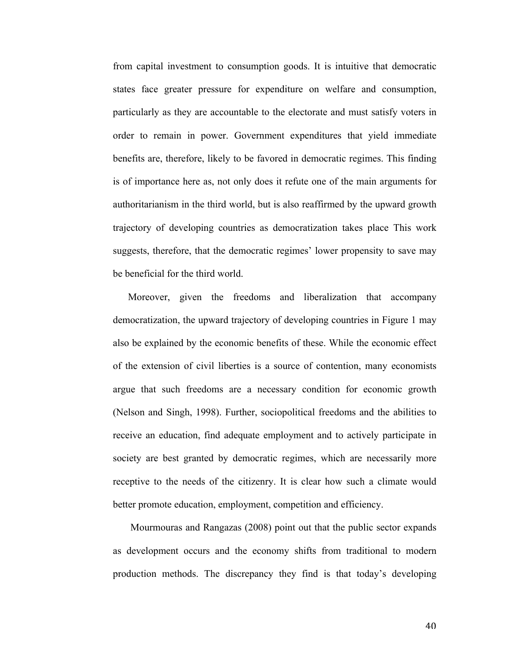from capital investment to consumption goods. It is intuitive that democratic states face greater pressure for expenditure on welfare and consumption, particularly as they are accountable to the electorate and must satisfy voters in order to remain in power. Government expenditures that yield immediate benefits are, therefore, likely to be favored in democratic regimes. This finding is of importance here as, not only does it refute one of the main arguments for authoritarianism in the third world, but is also reaffirmed by the upward growth trajectory of developing countries as democratization takes place This work suggests, therefore, that the democratic regimes' lower propensity to save may be beneficial for the third world.

Moreover, given the freedoms and liberalization that accompany democratization, the upward trajectory of developing countries in Figure 1 may also be explained by the economic benefits of these. While the economic effect of the extension of civil liberties is a source of contention, many economists argue that such freedoms are a necessary condition for economic growth (Nelson and Singh, 1998). Further, sociopolitical freedoms and the abilities to receive an education, find adequate employment and to actively participate in society are best granted by democratic regimes, which are necessarily more receptive to the needs of the citizenry. It is clear how such a climate would better promote education, employment, competition and efficiency.

 Mourmouras and Rangazas (2008) point out that the public sector expands as development occurs and the economy shifts from traditional to modern production methods. The discrepancy they find is that today's developing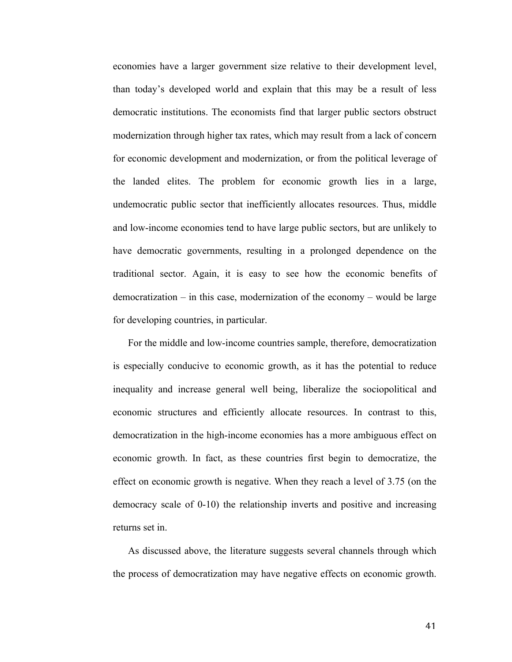economies have a larger government size relative to their development level, than today's developed world and explain that this may be a result of less democratic institutions. The economists find that larger public sectors obstruct modernization through higher tax rates, which may result from a lack of concern for economic development and modernization, or from the political leverage of the landed elites. The problem for economic growth lies in a large, undemocratic public sector that inefficiently allocates resources. Thus, middle and low-income economies tend to have large public sectors, but are unlikely to have democratic governments, resulting in a prolonged dependence on the traditional sector. Again, it is easy to see how the economic benefits of democratization – in this case, modernization of the economy – would be large for developing countries, in particular.

For the middle and low-income countries sample, therefore, democratization is especially conducive to economic growth, as it has the potential to reduce inequality and increase general well being, liberalize the sociopolitical and economic structures and efficiently allocate resources. In contrast to this, democratization in the high-income economies has a more ambiguous effect on economic growth. In fact, as these countries first begin to democratize, the effect on economic growth is negative. When they reach a level of 3.75 (on the democracy scale of 0-10) the relationship inverts and positive and increasing returns set in.

As discussed above, the literature suggests several channels through which the process of democratization may have negative effects on economic growth.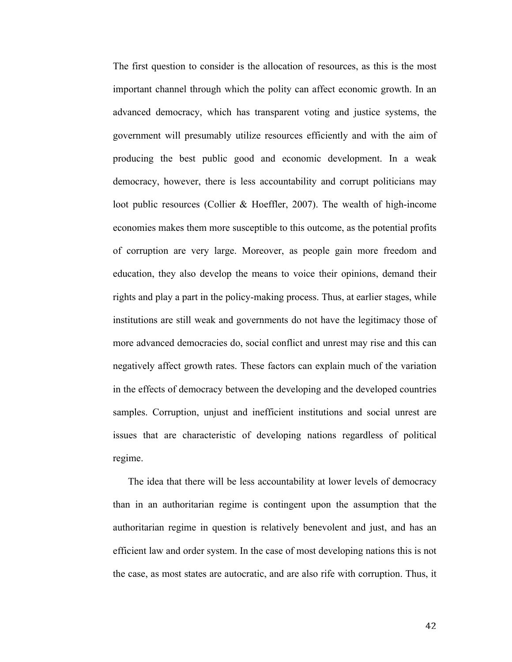The first question to consider is the allocation of resources, as this is the most important channel through which the polity can affect economic growth. In an advanced democracy, which has transparent voting and justice systems, the government will presumably utilize resources efficiently and with the aim of producing the best public good and economic development. In a weak democracy, however, there is less accountability and corrupt politicians may loot public resources (Collier & Hoeffler, 2007). The wealth of high-income economies makes them more susceptible to this outcome, as the potential profits of corruption are very large. Moreover, as people gain more freedom and education, they also develop the means to voice their opinions, demand their rights and play a part in the policy-making process. Thus, at earlier stages, while institutions are still weak and governments do not have the legitimacy those of more advanced democracies do, social conflict and unrest may rise and this can negatively affect growth rates. These factors can explain much of the variation in the effects of democracy between the developing and the developed countries samples. Corruption, unjust and inefficient institutions and social unrest are issues that are characteristic of developing nations regardless of political regime.

The idea that there will be less accountability at lower levels of democracy than in an authoritarian regime is contingent upon the assumption that the authoritarian regime in question is relatively benevolent and just, and has an efficient law and order system. In the case of most developing nations this is not the case, as most states are autocratic, and are also rife with corruption. Thus, it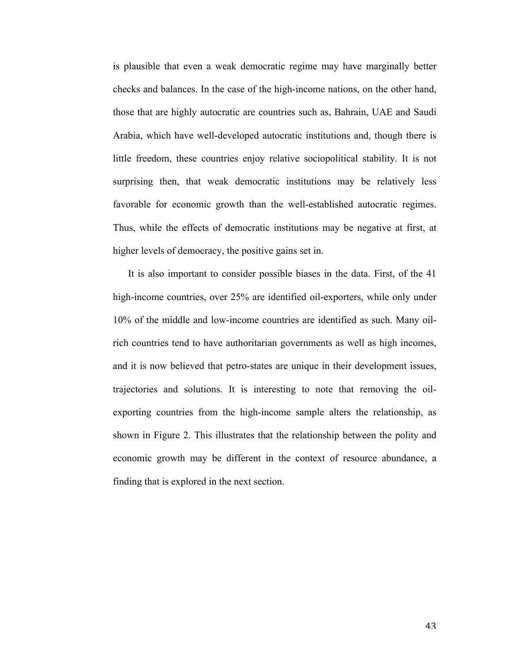is plausible that even a weak democratic regime may have marginally better checks and balances. In the case of the high-income nations, on the other hand, those that are highly autocratic are countries such as, Bahrain, UAE and Saudi Arabia, which have well-developed autocratic institutions and, though there is little freedom, these countries enjoy relative sociopolitical stability. It is not surprising then, that weak democratic institutions may be relatively less favorable for economic growth than the well-established autocratic regimes. Thus, while the effects of democratic institutions may be negative at first, at higher levels of democracy, the positive gains set in.

It is also important to consider possible biases in the data. First, of the 41 high-income countries, over 25% are identified oil-exporters, while only under 10% of the middle and low-income countries are identified as such. Many oilrich countries tend to have authoritarian governments as well as high incomes, and it is now believed that petro-states are unique in their development issues, trajectories and solutions. It is interesting to note that removing the oilexporting countries from the high-income sample alters the relationship, as shown in Figure 2. This illustrates that the relationship between the polity and economic growth may be different in the context of resource abundance, a finding that is explored in the next section.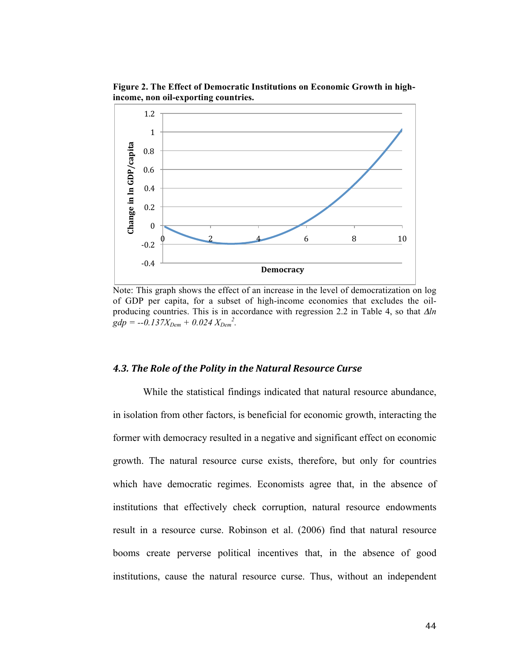**Figure 2. The Effect of Democratic Institutions on Economic Growth in highincome, non oil-exporting countries.**



Note: This graph shows the effect of an increase in the level of democratization on log of GDP per capita, for a subset of high-income economies that excludes the oilproducing countries. This is in accordance with regression 2.2 in Table 4, so that Δ*ln*   $gdp = -0.137X_{Dem} + 0.024 X_{Dem}^2$ .

#### *4.3. The Role of the Polity in the Natural Resource Curse*

While the statistical findings indicated that natural resource abundance, in isolation from other factors, is beneficial for economic growth, interacting the former with democracy resulted in a negative and significant effect on economic growth. The natural resource curse exists, therefore, but only for countries which have democratic regimes. Economists agree that, in the absence of institutions that effectively check corruption, natural resource endowments result in a resource curse. Robinson et al. (2006) find that natural resource booms create perverse political incentives that, in the absence of good institutions, cause the natural resource curse. Thus, without an independent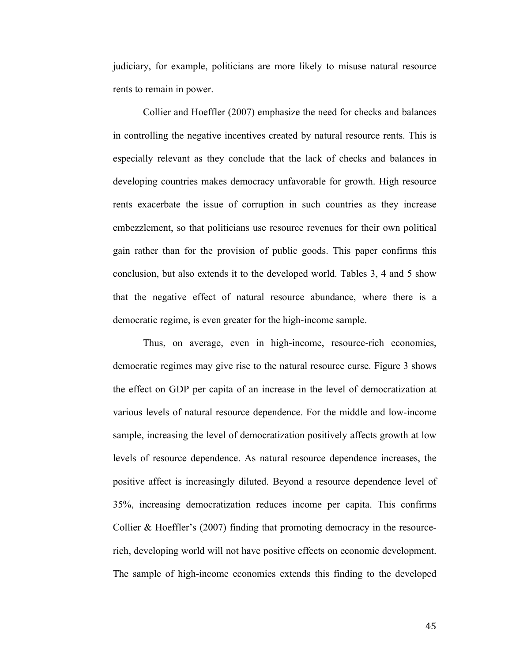judiciary, for example, politicians are more likely to misuse natural resource rents to remain in power.

Collier and Hoeffler (2007) emphasize the need for checks and balances in controlling the negative incentives created by natural resource rents. This is especially relevant as they conclude that the lack of checks and balances in developing countries makes democracy unfavorable for growth. High resource rents exacerbate the issue of corruption in such countries as they increase embezzlement, so that politicians use resource revenues for their own political gain rather than for the provision of public goods. This paper confirms this conclusion, but also extends it to the developed world. Tables 3, 4 and 5 show that the negative effect of natural resource abundance, where there is a democratic regime, is even greater for the high-income sample.

Thus, on average, even in high-income, resource-rich economies, democratic regimes may give rise to the natural resource curse. Figure 3 shows the effect on GDP per capita of an increase in the level of democratization at various levels of natural resource dependence. For the middle and low-income sample, increasing the level of democratization positively affects growth at low levels of resource dependence. As natural resource dependence increases, the positive affect is increasingly diluted. Beyond a resource dependence level of 35%, increasing democratization reduces income per capita. This confirms Collier & Hoeffler's (2007) finding that promoting democracy in the resourcerich, developing world will not have positive effects on economic development. The sample of high-income economies extends this finding to the developed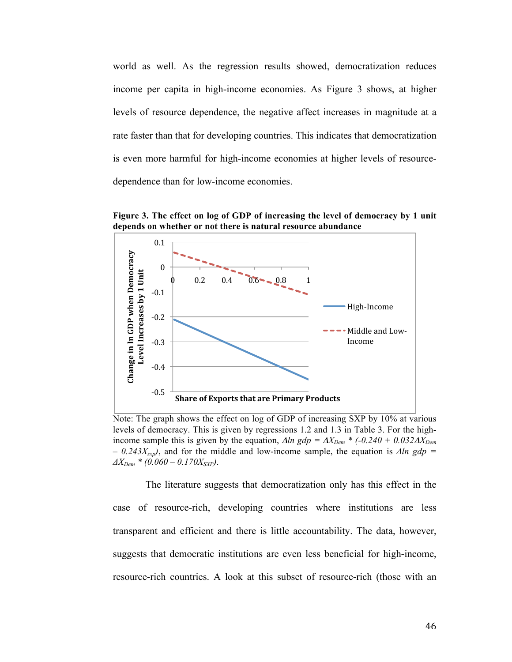world as well. As the regression results showed, democratization reduces income per capita in high-income economies. As Figure 3 shows, at higher levels of resource dependence, the negative affect increases in magnitude at a rate faster than that for developing countries. This indicates that democratization is even more harmful for high-income economies at higher levels of resourcedependence than for low-income economies.



**Figure 3. The effect on log of GDP of increasing the level of democracy by 1 unit depends on whether or not there is natural resource abundance**

Note: The graph shows the effect on log of GDP of increasing SXP by 10% at various levels of democracy. This is given by regressions 1.2 and 1.3 in Table 3. For the highincome sample this is given by the equation,  $\Delta ln$  gdp =  $\Delta X_{Dem}$  \* (-0.240 + 0.032 $\Delta X_{Dem}$ )  $-$  0.243X<sub>sxp</sub>), and for the middle and low-income sample, the equation is  $\Delta ln$  gdp =  $\Delta X_{Dem}$  \* (0.060 – 0.170 $X_{SXP}$ ).

The literature suggests that democratization only has this effect in the case of resource-rich, developing countries where institutions are less transparent and efficient and there is little accountability. The data, however, suggests that democratic institutions are even less beneficial for high-income, resource-rich countries. A look at this subset of resource-rich (those with an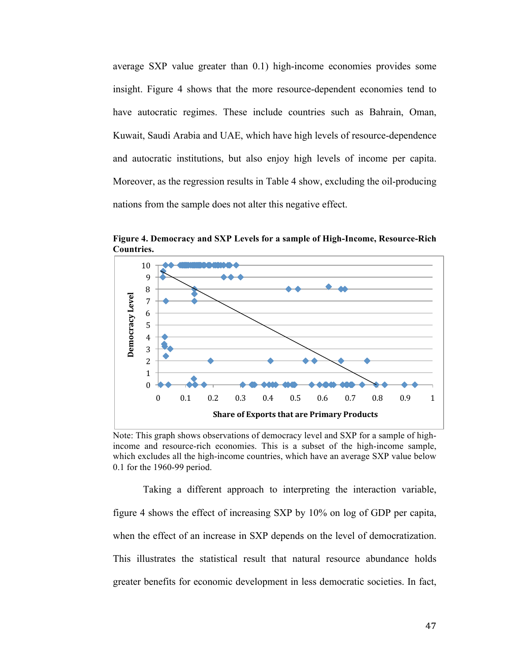average SXP value greater than 0.1) high-income economies provides some insight. Figure 4 shows that the more resource-dependent economies tend to have autocratic regimes. These include countries such as Bahrain, Oman, Kuwait, Saudi Arabia and UAE, which have high levels of resource-dependence and autocratic institutions, but also enjoy high levels of income per capita. Moreover, as the regression results in Table 4 show, excluding the oil-producing nations from the sample does not alter this negative effect.



**Figure 4. Democracy and SXP Levels for a sample of High-Income, Resource-Rich Countries.** 

Note: This graph shows observations of democracy level and SXP for a sample of highincome and resource-rich economies. This is a subset of the high-income sample, which excludes all the high-income countries, which have an average SXP value below 0.1 for the 1960-99 period.

Taking a different approach to interpreting the interaction variable, figure 4 shows the effect of increasing SXP by 10% on log of GDP per capita, when the effect of an increase in SXP depends on the level of democratization. This illustrates the statistical result that natural resource abundance holds greater benefits for economic development in less democratic societies. In fact,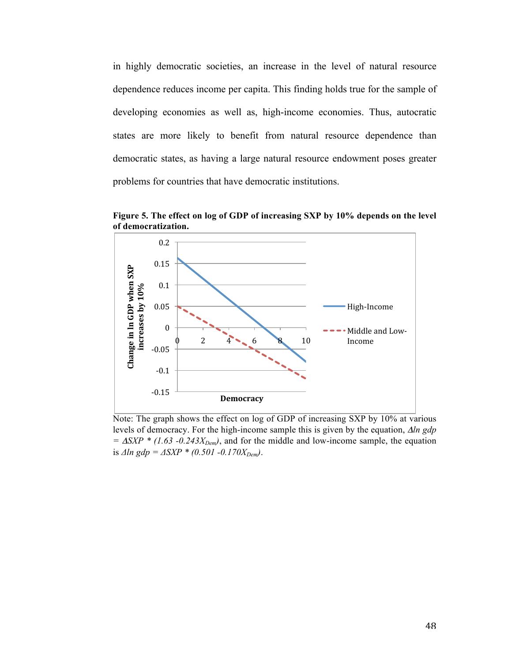in highly democratic societies, an increase in the level of natural resource dependence reduces income per capita. This finding holds true for the sample of developing economies as well as, high-income economies. Thus, autocratic states are more likely to benefit from natural resource dependence than democratic states, as having a large natural resource endowment poses greater problems for countries that have democratic institutions.



**Figure 5. The effect on log of GDP of increasing SXP by 10% depends on the level of democratization.**

Note: The graph shows the effect on log of GDP of increasing SXP by 10% at various levels of democracy. For the high-income sample this is given by the equation, Δ*ln gdp*   $= \Delta SXP$  \* (1.63 -0.243 $X_{Dem}$ ), and for the middle and low-income sample, the equation is  $\Delta ln gdp = \Delta XYP * (0.501 - 0.170X_{Dem}).$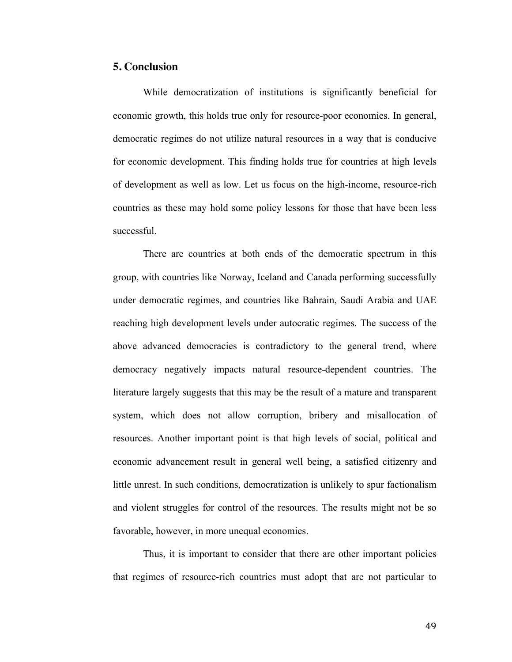#### **5. Conclusion**

While democratization of institutions is significantly beneficial for economic growth, this holds true only for resource-poor economies. In general, democratic regimes do not utilize natural resources in a way that is conducive for economic development. This finding holds true for countries at high levels of development as well as low. Let us focus on the high-income, resource-rich countries as these may hold some policy lessons for those that have been less successful.

There are countries at both ends of the democratic spectrum in this group, with countries like Norway, Iceland and Canada performing successfully under democratic regimes, and countries like Bahrain, Saudi Arabia and UAE reaching high development levels under autocratic regimes. The success of the above advanced democracies is contradictory to the general trend, where democracy negatively impacts natural resource-dependent countries. The literature largely suggests that this may be the result of a mature and transparent system, which does not allow corruption, bribery and misallocation of resources. Another important point is that high levels of social, political and economic advancement result in general well being, a satisfied citizenry and little unrest. In such conditions, democratization is unlikely to spur factionalism and violent struggles for control of the resources. The results might not be so favorable, however, in more unequal economies.

Thus, it is important to consider that there are other important policies that regimes of resource-rich countries must adopt that are not particular to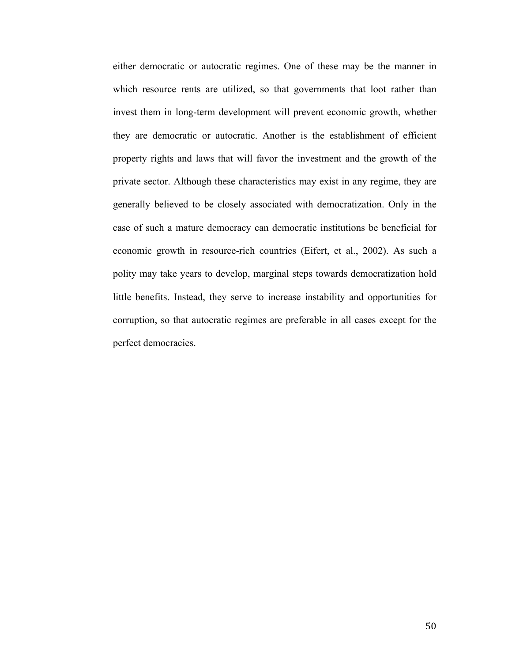either democratic or autocratic regimes. One of these may be the manner in which resource rents are utilized, so that governments that loot rather than invest them in long-term development will prevent economic growth, whether they are democratic or autocratic. Another is the establishment of efficient property rights and laws that will favor the investment and the growth of the private sector. Although these characteristics may exist in any regime, they are generally believed to be closely associated with democratization. Only in the case of such a mature democracy can democratic institutions be beneficial for economic growth in resource-rich countries (Eifert, et al., 2002). As such a polity may take years to develop, marginal steps towards democratization hold little benefits. Instead, they serve to increase instability and opportunities for corruption, so that autocratic regimes are preferable in all cases except for the perfect democracies.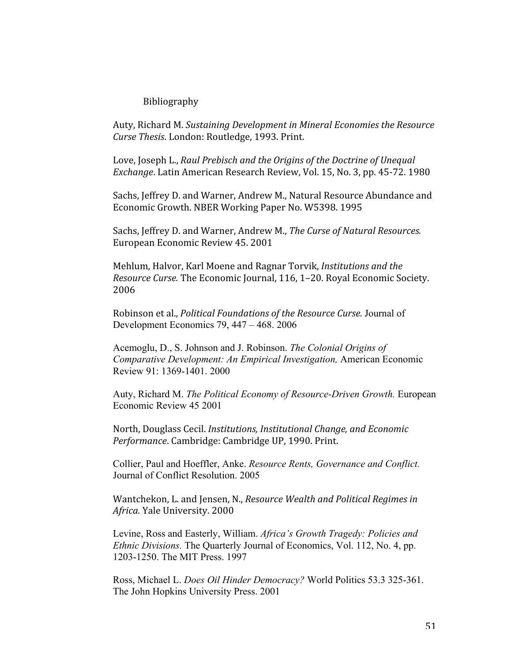#### Bibliography

Auty, Richard M. *Sustaining Development in Mineral Economies the Resource Curse Thesis*. London: Routledge, 1993. Print.

Love, Joseph L., *Raul Prebisch and the Origins of the Doctrine of Unequal Exchange*. Latin American Research Review, Vol. 15, No. 3, pp. 45‐72. 1980

Sachs, Jeffrey D. and Warner, Andrew M., Natural Resource Abundance and Economic Growth. NBER Working Paper No. W5398. 1995

Sachs, Jeffrey D. and Warner, Andrew M., *The Curse of Natural Resources.*  European Economic Review 45. 2001

Mehlum, Halvor, Karl Moene and Ragnar Torvik, *Institutions and the Resource Curse.* The Economic Journal, 116, 1–20. Royal Economic Society. 2006

Robinson et al., *Political Foundations of the Resource Curse.* Journal of Development Economics 79, 447 – 468. 2006

Acemoglu, D., S. Johnson and J. Robinson. *The Colonial Origins of Comparative Development: An Empirical Investigation,* American Economic Review 91: 1369-1401. 2000

Auty, Richard M. *The Political Economy of Resource-Driven Growth.* European Economic Review 45 2001

North, Douglass Cecil. *Institutions, Institutional Change, and Economic Performance*. Cambridge: Cambridge UP, 1990. Print.

Collier, Paul and Hoeffler, Anke. *Resource Rents, Governance and Conflict.* Journal of Conflict Resolution. 2005

Wantchekon, L. and Jensen, N., *Resource Wealth and Political Regimes in Africa.* Yale University. 2000

Levine, Ross and Easterly, William. *Africa's Growth Tragedy: Policies and Ethnic Divisions.* The Quarterly Journal of Economics, Vol. 112, No. 4, pp. 1203-1250. The MIT Press. 1997

Ross, Michael L. *Does Oil Hinder Democracy?* World Politics 53.3 325-361. The John Hopkins University Press. 2001